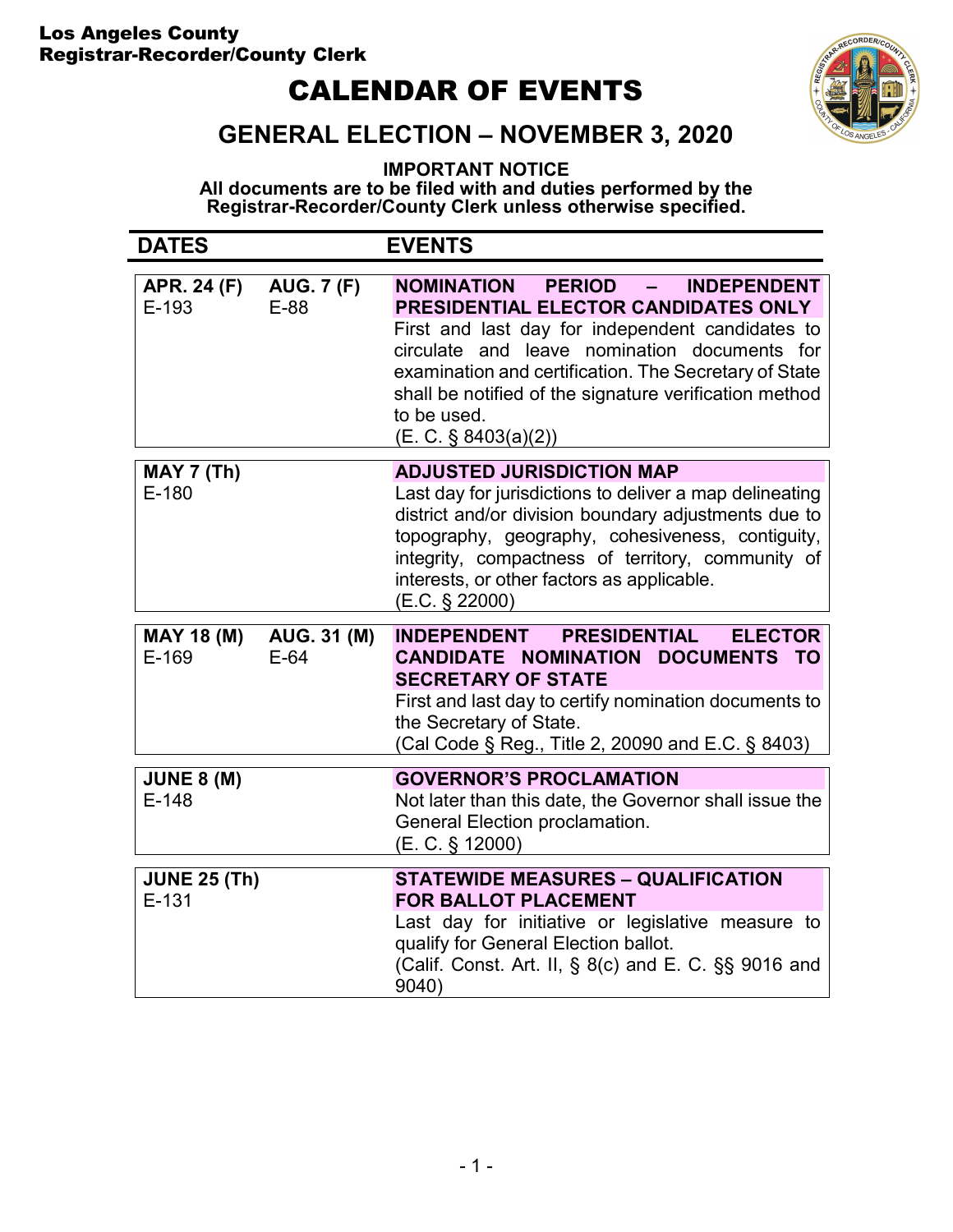### Los Angeles County Registrar-Recorder/County Clerk

# CALENDAR OF EVENTS



## GENERAL ELECTION – NOVEMBER 3, 2020

IMPORTANT NOTICE

All documents are to be filed with and duties performed by the Registrar-Recorder/County Clerk unless otherwise specified.

| <b>DATES</b>                   |                           | <b>EVENTS</b>                                                                                                                                                                                                                                                                                                                                      |
|--------------------------------|---------------------------|----------------------------------------------------------------------------------------------------------------------------------------------------------------------------------------------------------------------------------------------------------------------------------------------------------------------------------------------------|
| <b>APR. 24 (F)</b><br>E-193    | <b>AUG. 7 (F)</b><br>E-88 | NOMINATION PERIOD -<br><b>INDEPENDENT</b><br>PRESIDENTIAL ELECTOR CANDIDATES ONLY<br>First and last day for independent candidates to<br>circulate and leave nomination documents for<br>examination and certification. The Secretary of State<br>shall be notified of the signature verification method<br>to be used.<br>$(E. C. \S 8403(a)(2))$ |
| <b>MAY 7 (Th)</b><br>$E-180$   |                           | <b>ADJUSTED JURISDICTION MAP</b><br>Last day for jurisdictions to deliver a map delineating<br>district and/or division boundary adjustments due to<br>topography, geography, cohesiveness, contiguity,<br>integrity, compactness of territory, community of<br>interests, or other factors as applicable.<br>(E.C. § 22000)                       |
| <b>MAY 18 (M)</b><br>$E-169$   | AUG. 31 (M)<br>$E-64$     | <b>INDEPENDENT</b><br><b>PRESIDENTIAL</b><br><b>ELECTOR</b><br>CANDIDATE NOMINATION DOCUMENTS TO<br><b>SECRETARY OF STATE</b><br>First and last day to certify nomination documents to<br>the Secretary of State.<br>(Cal Code § Reg., Title 2, 20090 and E.C. § 8403)                                                                             |
| <b>JUNE 8 (M)</b><br>$E-148$   |                           | <b>GOVERNOR'S PROCLAMATION</b><br>Not later than this date, the Governor shall issue the<br>General Election proclamation.<br>(E. C. § 12000)                                                                                                                                                                                                      |
| <b>JUNE 25 (Th)</b><br>$E-131$ |                           | <b>STATEWIDE MEASURES - QUALIFICATION</b><br><b>FOR BALLOT PLACEMENT</b><br>Last day for initiative or legislative measure to<br>qualify for General Election ballot.<br>(Calif. Const. Art. II, § 8(c) and E. C. §§ 9016 and<br>9040)                                                                                                             |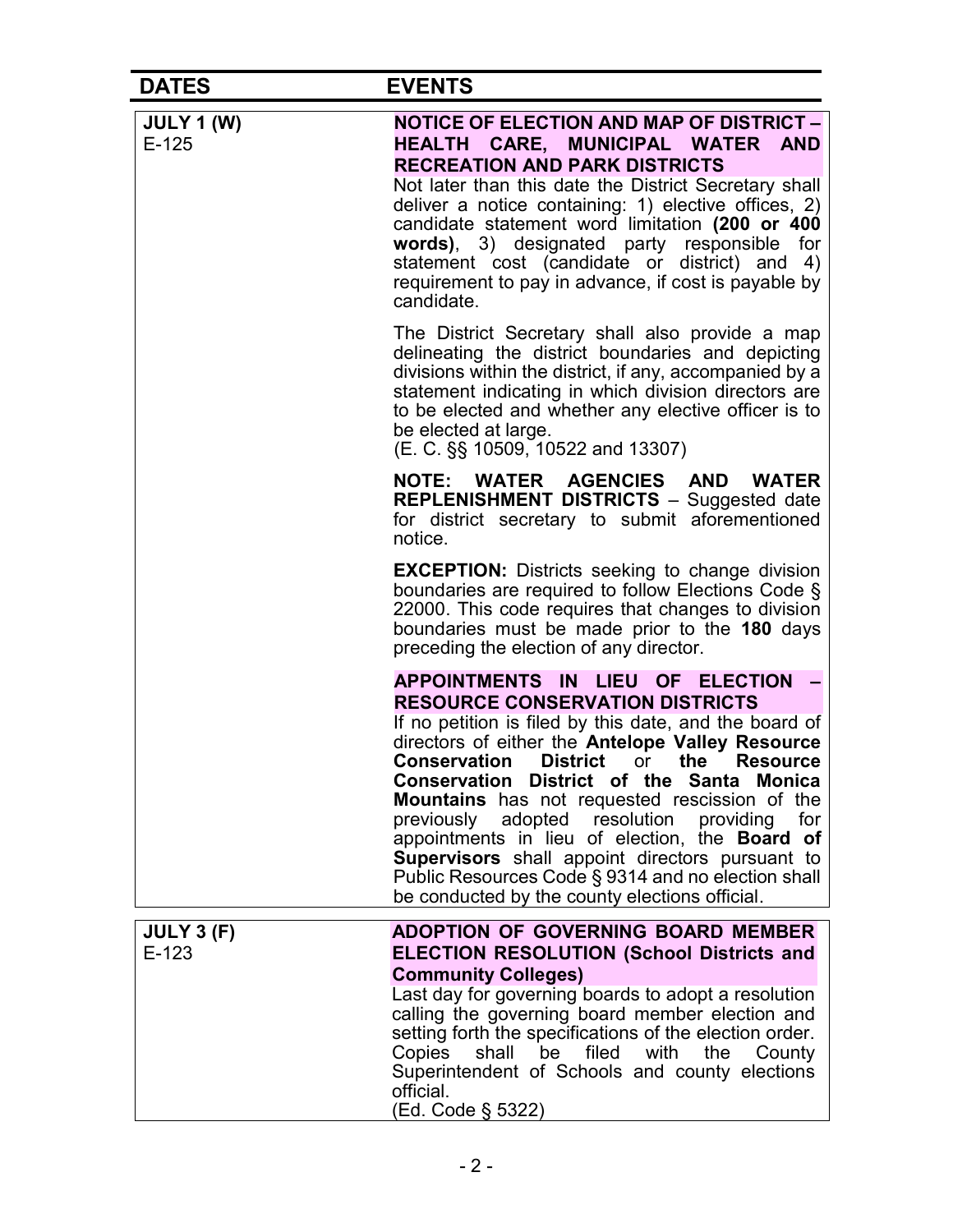| <b>DATES</b>                 | <b>EVENTS</b>                                                                                                                                                                                                                                                                                                                                                                                                                                                                                                                                                                                                             |
|------------------------------|---------------------------------------------------------------------------------------------------------------------------------------------------------------------------------------------------------------------------------------------------------------------------------------------------------------------------------------------------------------------------------------------------------------------------------------------------------------------------------------------------------------------------------------------------------------------------------------------------------------------------|
| <b>JULY 1 (W)</b><br>$E-125$ | <b>NOTICE OF ELECTION AND MAP OF DISTRICT -</b><br>HEALTH CARE, MUNICIPAL WATER AND<br><b>RECREATION AND PARK DISTRICTS</b><br>Not later than this date the District Secretary shall<br>deliver a notice containing: 1) elective offices, 2)<br>candidate statement word limitation (200 or 400<br>words), 3) designated party responsible for<br>statement cost (candidate or district) and 4)<br>requirement to pay in advance, if cost is payable by<br>candidate.                                                                                                                                                     |
|                              | The District Secretary shall also provide a map<br>delineating the district boundaries and depicting<br>divisions within the district, if any, accompanied by a<br>statement indicating in which division directors are<br>to be elected and whether any elective officer is to<br>be elected at large.<br>(E. C. §§ 10509, 10522 and 13307)                                                                                                                                                                                                                                                                              |
|                              | NOTE: WATER AGENCIES AND WATER<br><b>REPLENISHMENT DISTRICTS - Suggested date</b><br>for district secretary to submit aforementioned<br>notice.                                                                                                                                                                                                                                                                                                                                                                                                                                                                           |
|                              | <b>EXCEPTION:</b> Districts seeking to change division<br>boundaries are required to follow Elections Code §<br>22000. This code requires that changes to division<br>boundaries must be made prior to the 180 days<br>preceding the election of any director.                                                                                                                                                                                                                                                                                                                                                            |
|                              | <b>APPOINTMENTS IN</b><br>LIEU OF<br><b>ELECTION</b><br><b>RESOURCE CONSERVATION DISTRICTS</b><br>If no petition is filed by this date, and the board of<br>directors of either the Antelope Valley Resource<br><b>Conservation District</b> or the Resource<br>Conservation District of the Santa Monica<br>Mountains has not requested rescission of the<br>previously adopted resolution providing<br>for<br>appointments in lieu of election, the Board of<br>Supervisors shall appoint directors pursuant to<br>Public Resources Code § 9314 and no election shall<br>be conducted by the county elections official. |
| <b>JULY 3 (F)</b><br>$E-123$ | ADOPTION OF GOVERNING BOARD MEMBER<br><b>ELECTION RESOLUTION (School Districts and</b><br><b>Community Colleges)</b><br>Last day for governing boards to adopt a resolution<br>calling the governing board member election and<br>setting forth the specifications of the election order.<br>Copies shall be filed with the County<br>Superintendent of Schools and county elections<br>official.<br>(Ed. Code § 5322)                                                                                                                                                                                                    |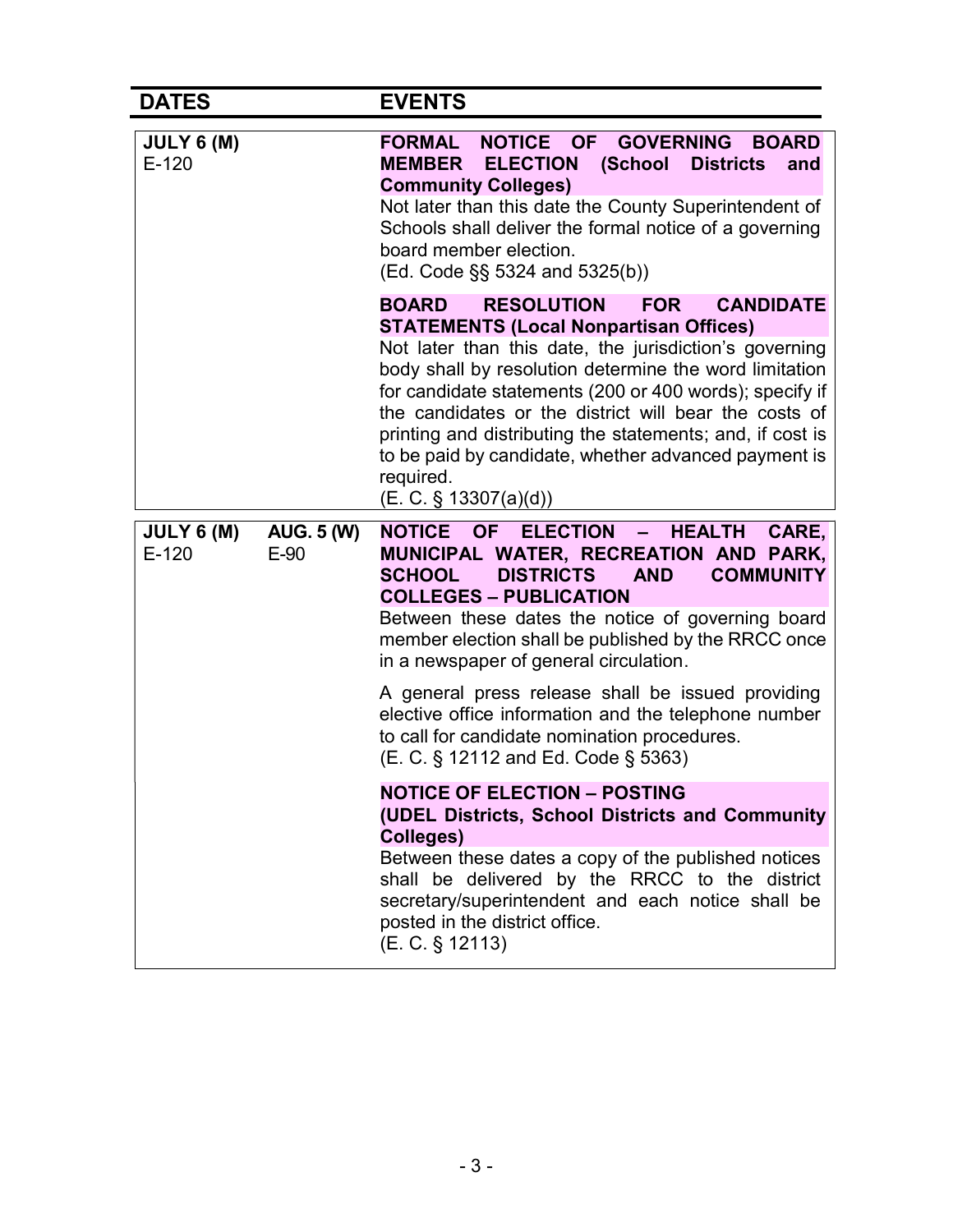#### DATES EVENTS JULY 6 (M) E-120 FORMAL NOTICE OF GOVERNING BOARD MEMBER ELECTION (School Districts and Community Colleges) Not later than this date the County Superintendent of Schools shall deliver the formal notice of a governing board member election. (Ed. Code §§ 5324 and 5325(b)) BOARD RESOLUTION FOR CANDIDATE STATEMENTS (Local Nonpartisan Offices) Not later than this date, the jurisdiction's governing body shall by resolution determine the word limitation for candidate statements (200 or 400 words); specify if the candidates or the district will bear the costs of printing and distributing the statements; and, if cost is to be paid by candidate, whether advanced payment is required. (E. C. § 13307(a)(d)) JULY 6 (M) E-120 AUG. 5 (W) E-90 NOTICE OF ELECTION – HEALTH CARE, MUNICIPAL WATER, RECREATION AND PARK, SCHOOL DISTRICTS AND COMMUNITY COLLEGES – PUBLICATION Between these dates the notice of governing board member election shall be published by the RRCC once in a newspaper of general circulation. A general press release shall be issued providing elective office information and the telephone number to call for candidate nomination procedures. (E. C. § 12112 and Ed. Code § 5363) NOTICE OF ELECTION – POSTING (UDEL Districts, School Districts and Community Colleges) Between these dates a copy of the published notices shall be delivered by the RRCC to the district secretary/superintendent and each notice shall be posted in the district office. (E. C. § 12113)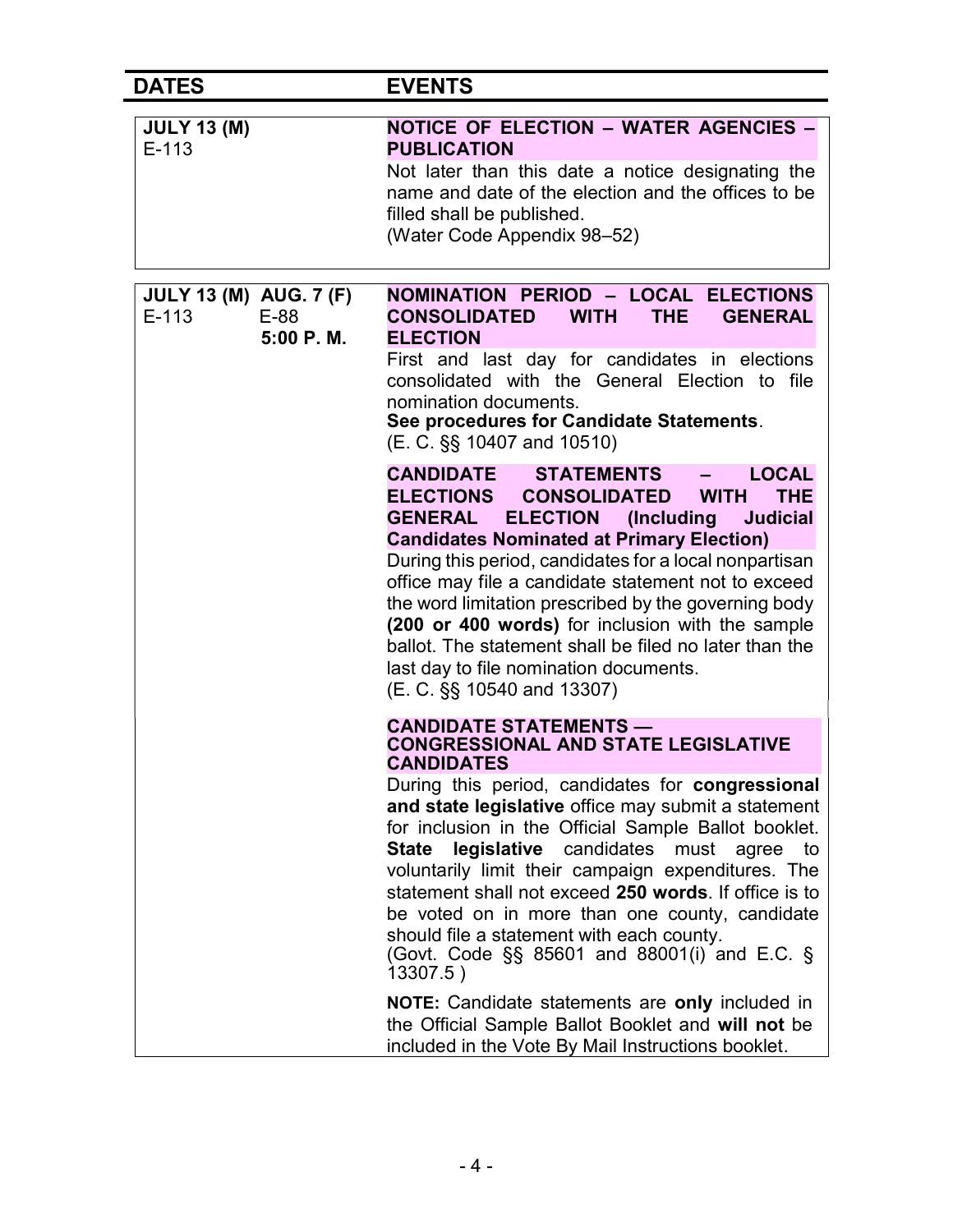| <b>DATES</b>                                                    | <b>EVENTS</b>                                                                                                                                                                                                                                                                                                                                                                                                                                                                                                                                                                                                                                                                   |
|-----------------------------------------------------------------|---------------------------------------------------------------------------------------------------------------------------------------------------------------------------------------------------------------------------------------------------------------------------------------------------------------------------------------------------------------------------------------------------------------------------------------------------------------------------------------------------------------------------------------------------------------------------------------------------------------------------------------------------------------------------------|
| <b>JULY 13 (M)</b><br>$E-113$                                   | <b>NOTICE OF ELECTION - WATER AGENCIES -</b><br><b>PUBLICATION</b><br>Not later than this date a notice designating the<br>name and date of the election and the offices to be<br>filled shall be published.<br>(Water Code Appendix 98-52)                                                                                                                                                                                                                                                                                                                                                                                                                                     |
| <b>JULY 13 (M) AUG. 7 (F)</b><br>$E-113$<br>$E-88$<br>5:00 P.M. | <b>NOMINATION PERIOD - LOCAL ELECTIONS</b><br><b>CONSOLIDATED</b><br><b>WITH</b><br><b>THE</b><br><b>GENERAL</b><br><b>ELECTION</b><br>First and last day for candidates in elections<br>consolidated with the General Election to file<br>nomination documents.<br>See procedures for Candidate Statements.<br>(E. C. §§ 10407 and 10510)                                                                                                                                                                                                                                                                                                                                      |
|                                                                 | <b>CANDIDATE STATEMENTS</b><br><b>LOCAL</b><br><b>ELECTIONS</b><br><b>CONSOLIDATED</b><br><b>THE</b><br><b>WITH</b><br><b>ELECTION</b><br><b>GENERAL</b><br>(Including<br><b>Judicial</b><br><b>Candidates Nominated at Primary Election)</b><br>During this period, candidates for a local nonpartisan<br>office may file a candidate statement not to exceed<br>the word limitation prescribed by the governing body<br>(200 or 400 words) for inclusion with the sample<br>ballot. The statement shall be filed no later than the<br>last day to file nomination documents.<br>(E. C. §§ 10540 and 13307)                                                                    |
|                                                                 | <b>CANDIDATE STATEMENTS -</b><br><b>CONGRESSIONAL AND STATE LEGISLATIVE</b><br><b>CANDIDATES</b><br>During this period, candidates for <b>congressional</b><br>and state legislative office may submit a statement<br>for inclusion in the Official Sample Ballot booklet.<br>legislative candidates<br><b>State</b><br>must<br>agree<br>to<br>voluntarily limit their campaign expenditures. The<br>statement shall not exceed 250 words. If office is to<br>be voted on in more than one county, candidate<br>should file a statement with each county.<br>(Govt. Code §§ 85601 and 88001(i) and E.C. §<br>13307.5)<br><b>NOTE:</b> Candidate statements are only included in |
|                                                                 | the Official Sample Ballot Booklet and will not be<br>included in the Vote By Mail Instructions booklet.                                                                                                                                                                                                                                                                                                                                                                                                                                                                                                                                                                        |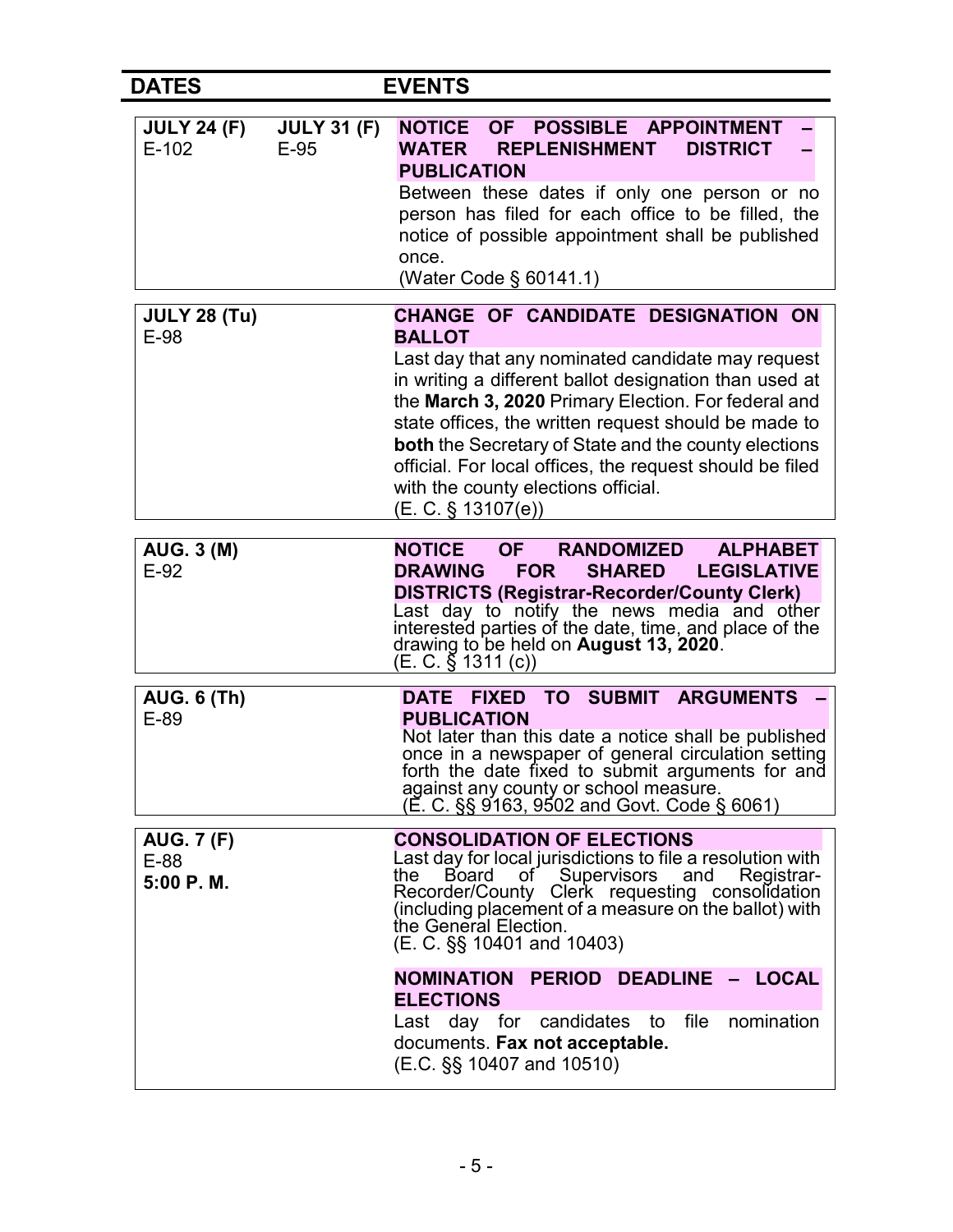| <b>DATES</b>                             |                              | <b>EVENTS</b>                                                                                                                                                                                                                                                                                                                                                                                                                                                                                         |  |
|------------------------------------------|------------------------------|-------------------------------------------------------------------------------------------------------------------------------------------------------------------------------------------------------------------------------------------------------------------------------------------------------------------------------------------------------------------------------------------------------------------------------------------------------------------------------------------------------|--|
| <b>JULY 24 (F)</b><br>$E-102$            | <b>JULY 31 (F)</b><br>$E-95$ | POSSIBLE APPOINTMENT<br><b>NOTICE</b><br><b>OF</b><br><b>REPLENISHMENT</b><br><b>WATER</b><br><b>DISTRICT</b><br><b>PUBLICATION</b><br>Between these dates if only one person or no<br>person has filed for each office to be filled, the<br>notice of possible appointment shall be published<br>once.<br>(Water Code § 60141.1)                                                                                                                                                                     |  |
| <b>JULY 28 (Tu)</b><br>E-98              |                              | CHANGE OF CANDIDATE DESIGNATION ON<br><b>BALLOT</b><br>Last day that any nominated candidate may request<br>in writing a different ballot designation than used at<br>the March 3, 2020 Primary Election. For federal and<br>state offices, the written request should be made to<br>both the Secretary of State and the county elections<br>official. For local offices, the request should be filed<br>with the county elections official.<br>$(E. C. \S 13107(e))$                                 |  |
| <b>AUG. 3 (M)</b><br>$E-92$              |                              | <b>OF</b><br><b>NOTICE</b><br><b>RANDOMIZED</b><br><b>ALPHABET</b><br><b>DRAWING</b><br><b>FOR</b><br><b>SHARED</b><br><b>LEGISLATIVE</b><br><b>DISTRICTS (Registrar-Recorder/County Clerk)</b><br>Last day to notify the news media and other<br>interested parties of the date, time, and place of the<br>drawing to be held on <b>August 13, 2020</b> .                                                                                                                                            |  |
| <b>AUG. 6 (Th)</b><br>$E-89$             |                              | FIXED TO SUBMIT ARGUMENTS<br><b>DATE</b><br><b>PUBLICATION</b><br>Not later than this date a notice shall be published<br>once in a newspaper of general circulation setting<br>forth the date fixed to submit arguments for and<br>against any county or school measure.<br>(E. C. §§ 9163, 9502 and Govt. Code § 6061)                                                                                                                                                                              |  |
| <b>AUG. 7 (F)</b><br>$E-88$<br>5:00 P.M. |                              | <b>CONSOLIDATION OF ELECTIONS</b><br>Last day for local jurisdictions to file a resolution with<br>of Supervisors and<br>Board<br>the<br>Registrar-<br>Recorder/County Clerk requesting consolidation<br>(including placement of a measure on the ballot) with<br>the General Election.<br>$(E. C. \S\$ 10401 and 10403)<br>NOMINATION PERIOD DEADLINE - LOCAL<br><b>ELECTIONS</b><br>file<br>nomination<br>Last day for candidates to<br>documents. Fax not acceptable.<br>(E.C. §§ 10407 and 10510) |  |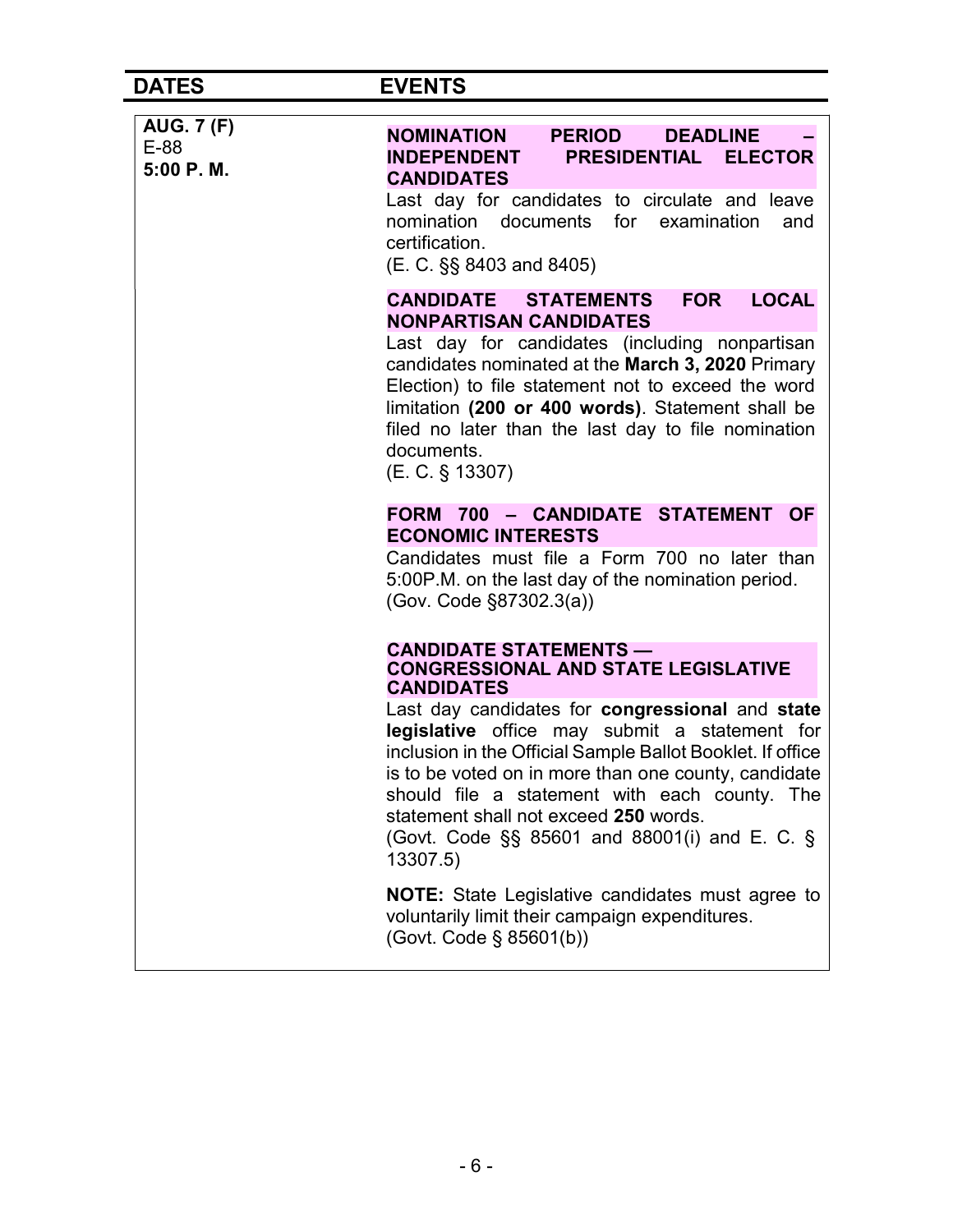## DATES EVENTS

| <b>AUG. 7 (F)</b><br>E-88<br>5:00 P.M. | <b>NOMINATION</b><br><b>PERIOD</b><br><b>DEADLINE</b><br>PRESIDENTIAL ELECTOR<br><b>INDEPENDENT</b><br><b>CANDIDATES</b><br>Last day for candidates to circulate and leave<br>nomination documents for examination<br>and<br>certification.<br>(E. C. §§ 8403 and 8405)                                                                                                                                 |
|----------------------------------------|---------------------------------------------------------------------------------------------------------------------------------------------------------------------------------------------------------------------------------------------------------------------------------------------------------------------------------------------------------------------------------------------------------|
|                                        | <b>CANDIDATE STATEMENTS</b><br><b>FOR</b><br><b>LOCAL</b><br><b>NONPARTISAN CANDIDATES</b><br>Last day for candidates (including nonpartisan<br>candidates nominated at the March 3, 2020 Primary<br>Election) to file statement not to exceed the word<br>limitation (200 or 400 words). Statement shall be<br>filed no later than the last day to file nomination<br>documents.<br>$(E. C. \S 13307)$ |
|                                        | FORM 700 - CANDIDATE STATEMENT OF<br><b>ECONOMIC INTERESTS</b><br>Candidates must file a Form 700 no later than<br>5:00P.M. on the last day of the nomination period.<br>(Gov. Code §87302.3(a))                                                                                                                                                                                                        |
|                                        | <b>CANDIDATE STATEMENTS —</b><br><b>CONGRESSIONAL AND STATE LEGISLATIVE</b><br><b>CANDIDATES</b>                                                                                                                                                                                                                                                                                                        |
|                                        | Last day candidates for congressional and state<br>legislative office may submit a statement for<br>inclusion in the Official Sample Ballot Booklet. If office<br>is to be voted on in more than one county, candidate<br>should file a statement with each county. The<br>statement shall not exceed 250 words.<br>(Govt. Code $\S$ § 85601 and 88001(i) and E. C. §<br>13307.5)                       |
|                                        | <b>NOTE:</b> State Legislative candidates must agree to<br>voluntarily limit their campaign expenditures.<br>(Govt. Code § 85601(b))                                                                                                                                                                                                                                                                    |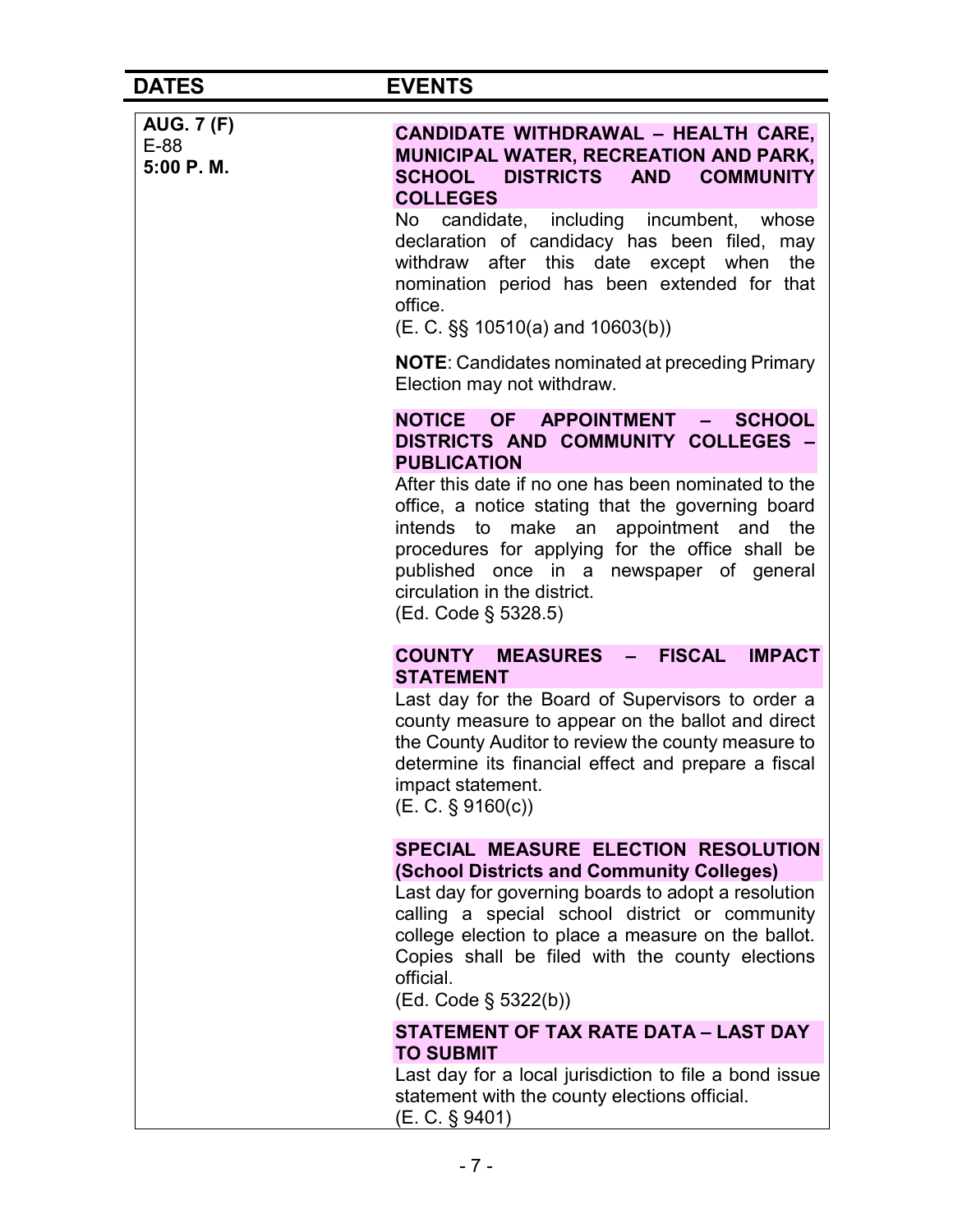| <b>AUG. 7 (F)</b><br>$E-88$<br>5:00 P.M. | <b>CANDIDATE WITHDRAWAL - HEALTH CARE,</b><br><b>MUNICIPAL WATER, RECREATION AND PARK,</b><br>SCHOOL DISTRICTS AND COMMUNITY<br><b>COLLEGES</b>                                                                                                                                                                                         |
|------------------------------------------|-----------------------------------------------------------------------------------------------------------------------------------------------------------------------------------------------------------------------------------------------------------------------------------------------------------------------------------------|
|                                          | candidate, including incumbent, whose<br>No<br>declaration of candidacy has been filed, may<br>withdraw after this date except when<br>the<br>nomination period has been extended for that<br>office.<br>(E. C. §§ 10510(a) and 10603(b))                                                                                               |
|                                          | <b>NOTE:</b> Candidates nominated at preceding Primary<br>Election may not withdraw.                                                                                                                                                                                                                                                    |
|                                          | NOTICE OF APPOINTMENT<br><b>SCHOOL</b><br>$\frac{1}{2}$<br>DISTRICTS AND COMMUNITY COLLEGES -<br><b>PUBLICATION</b>                                                                                                                                                                                                                     |
|                                          | After this date if no one has been nominated to the<br>office, a notice stating that the governing board<br>intends to make an appointment and the<br>procedures for applying for the office shall be<br>published once in a newspaper of general<br>circulation in the district.<br>(Ed. Code § 5328.5)                                |
|                                          | <b>FISCAL</b><br><b>IMPACT</b><br><b>COUNTY MEASURES</b><br>$\frac{1}{2}$                                                                                                                                                                                                                                                               |
|                                          | <b>STATEMENT</b>                                                                                                                                                                                                                                                                                                                        |
|                                          | Last day for the Board of Supervisors to order a<br>county measure to appear on the ballot and direct<br>the County Auditor to review the county measure to<br>determine its financial effect and prepare a fiscal<br>impact statement.<br>(E. C. § 9160(c))                                                                            |
|                                          | SPECIAL MEASURE ELECTION RESOLUTION<br>(School Districts and Community Colleges)<br>Last day for governing boards to adopt a resolution<br>calling a special school district or community<br>college election to place a measure on the ballot.<br>Copies shall be filed with the county elections<br>official.<br>(Ed. Code § 5322(b)) |
|                                          | STATEMENT OF TAX RATE DATA - LAST DAY                                                                                                                                                                                                                                                                                                   |
|                                          | <b>TO SUBMIT</b><br>Last day for a local jurisdiction to file a bond issue<br>statement with the county elections official.<br>(E. C. § 9401)                                                                                                                                                                                           |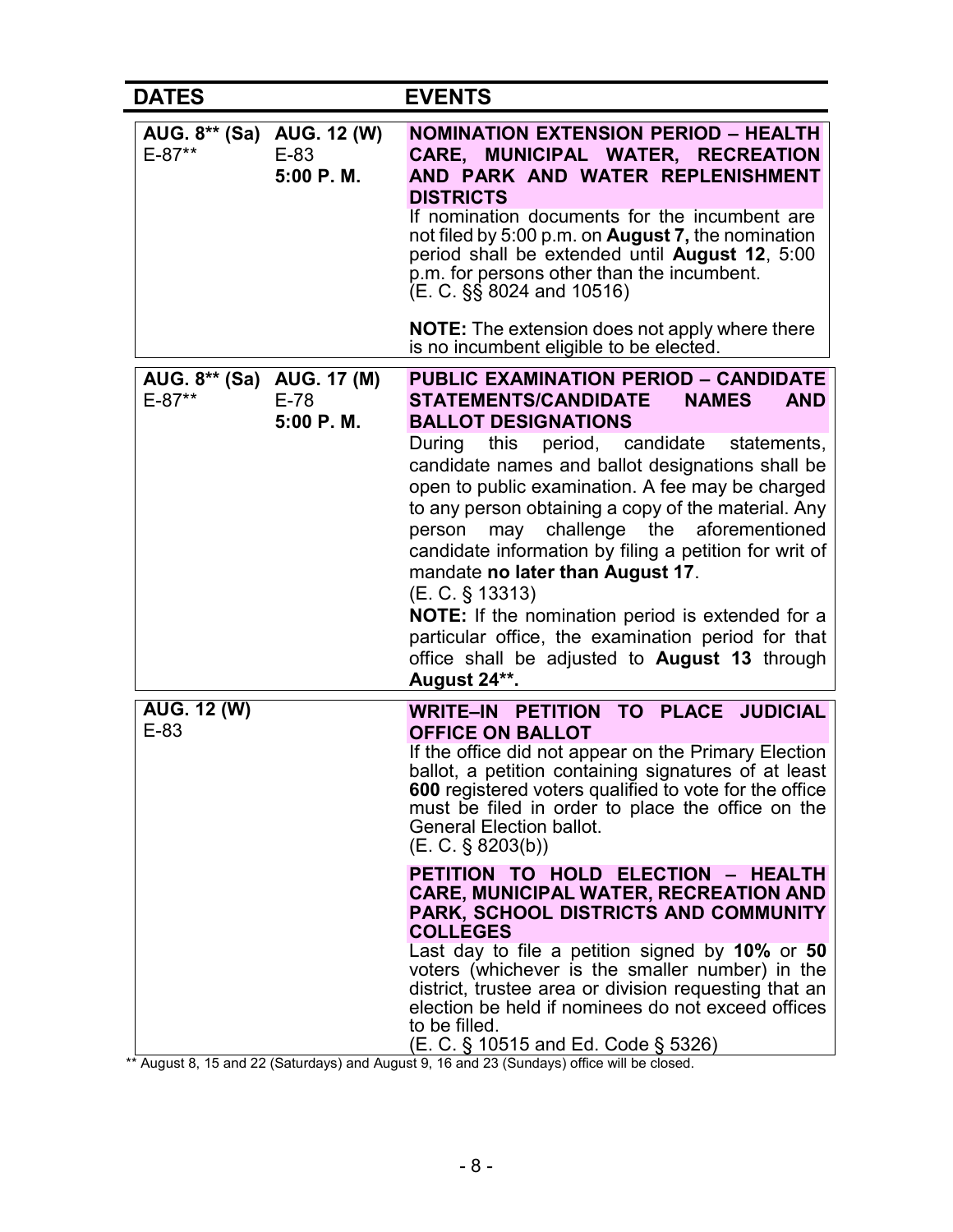| <b>DATES</b>                            |                     | <b>EVENTS</b>                                                                                                                                                                                                                                                                                                                                                                                                                                                                                                                                                                                                                                                                                                                                                                              |
|-----------------------------------------|---------------------|--------------------------------------------------------------------------------------------------------------------------------------------------------------------------------------------------------------------------------------------------------------------------------------------------------------------------------------------------------------------------------------------------------------------------------------------------------------------------------------------------------------------------------------------------------------------------------------------------------------------------------------------------------------------------------------------------------------------------------------------------------------------------------------------|
| AUG. 8** (Sa) AUG. 12 (W)<br>$E-87**$   | $E-83$<br>5:00 P.M. | <b>NOMINATION EXTENSION PERIOD - HEALTH</b><br>CARE, MUNICIPAL WATER, RECREATION<br>AND PARK AND WATER REPLENISHMENT<br><b>DISTRICTS</b><br>If nomination documents for the incumbent are<br>not filed by 5:00 p.m. on <b>August 7,</b> the nomination<br>period shall be extended until August 12, 5:00<br>p.m. for persons other than the incumbent.<br>$(E. C. \$ §§ 8024 and 10516)                                                                                                                                                                                                                                                                                                                                                                                                    |
|                                         |                     | <b>NOTE:</b> The extension does not apply where there<br>is no incumbent eligible to be elected.                                                                                                                                                                                                                                                                                                                                                                                                                                                                                                                                                                                                                                                                                           |
| AUG. 8** (Sa) AUG. 17 (M)<br>$E - 87**$ | $E-78$<br>5:00 P.M. | <b>PUBLIC EXAMINATION PERIOD - CANDIDATE</b><br><b>STATEMENTS/CANDIDATE</b><br><b>NAMES</b><br><b>AND</b><br><b>BALLOT DESIGNATIONS</b><br>period, candidate statements,<br>During<br>this<br>candidate names and ballot designations shall be<br>open to public examination. A fee may be charged<br>to any person obtaining a copy of the material. Any<br>challenge<br>the<br>aforementioned<br>person<br>may<br>candidate information by filing a petition for writ of<br>mandate no later than August 17.<br>(E. C. § 13313)<br>NOTE: If the nomination period is extended for a<br>particular office, the examination period for that<br>office shall be adjusted to August 13 through<br>August 24**.                                                                               |
| <b>AUG. 12 (W)</b><br>$E-83$            |                     | WRITE-IN PETITION TO PLACE JUDICIAL<br><b>OFFICE ON BALLOT</b><br>If the office did not appear on the Primary Election<br>ballot, a petition containing signatures of at least<br><b>600</b> registered voters qualified to vote for the office<br>must be filed in order to place the office on the<br><b>General Election ballot.</b><br>(E. C. § 8203(b))<br>PETITION TO HOLD ELECTION - HEALTH<br><b>CARE, MUNICIPAL WATER, RECREATION AND</b><br>PARK, SCHOOL DISTRICTS AND COMMUNITY<br><b>COLLEGES</b><br>Last day to file a petition signed by 10% or 50<br>voters (whichever is the smaller number) in the<br>district, trustee area or division requesting that an<br>election be held if nominees do not exceed offices<br>to be filled.<br>(E. C. § 10515 and Ed. Code § 5326) |

\*\* August 8, 15 and 22 (Saturdays) and August 9, 16 and 23 (Sundays) office will be closed.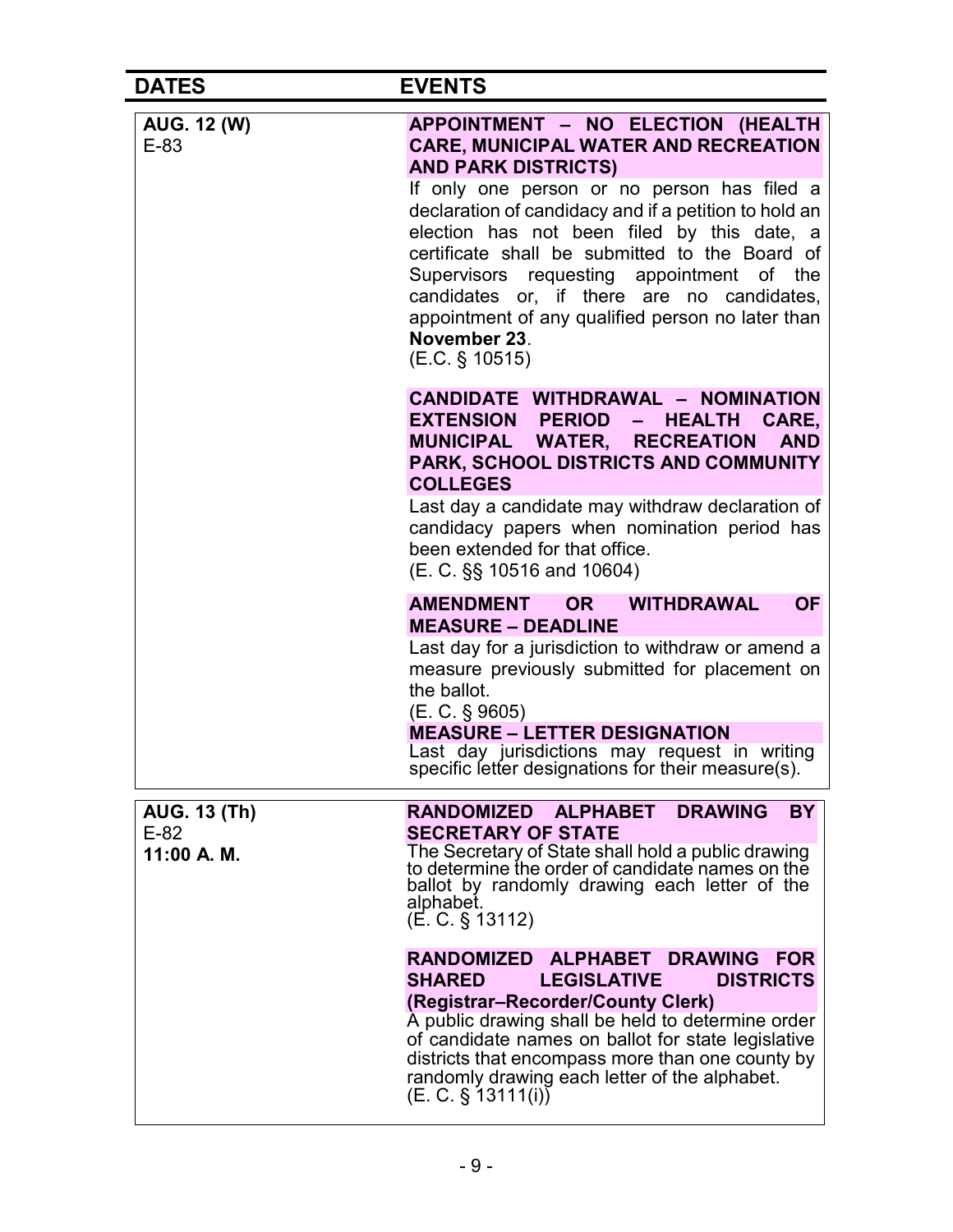| <b>DATES</b>                                 | <b>EVENTS</b>                                                                                                                                                                                                                                                                                                                                                                                                                                                                                             |
|----------------------------------------------|-----------------------------------------------------------------------------------------------------------------------------------------------------------------------------------------------------------------------------------------------------------------------------------------------------------------------------------------------------------------------------------------------------------------------------------------------------------------------------------------------------------|
| <b>AUG. 12 (W)</b><br>$E-83$                 | APPOINTMENT - NO ELECTION (HEALTH<br><b>CARE, MUNICIPAL WATER AND RECREATION</b><br><b>AND PARK DISTRICTS)</b><br>If only one person or no person has filed a<br>declaration of candidacy and if a petition to hold an<br>election has not been filed by this date, a<br>certificate shall be submitted to the Board of<br>Supervisors requesting appointment of the<br>candidates or, if there are no candidates,<br>appointment of any qualified person no later than<br>November 23.<br>(E.C. § 10515) |
|                                              | CANDIDATE WITHDRAWAL - NOMINATION<br><b>EXTENSION PERIOD</b><br>$\frac{1}{2}$<br>HEALTH CARE,<br>MUNICIPAL WATER, RECREATION<br><b>AND</b><br>PARK, SCHOOL DISTRICTS AND COMMUNITY<br><b>COLLEGES</b><br>Last day a candidate may withdraw declaration of<br>candidacy papers when nomination period has<br>been extended for that office.<br>(E. C. §§ 10516 and 10604)                                                                                                                                  |
|                                              | <b>OF</b><br>OR WITHDRAWAL<br><b>AMENDMENT</b><br><b>MEASURE - DEADLINE</b><br>Last day for a jurisdiction to withdraw or amend a<br>measure previously submitted for placement on<br>the ballot.<br>(E. C. § 9605)<br><b>MEASURE - LETTER DESIGNATION</b><br>Last day jurisdictions may request in writing<br>specific letter designations for their measure(s).                                                                                                                                         |
| <b>AUG. 13 (Th)</b><br>$E-82$<br>11:00 A. M. | RANDOMIZED ALPHABET DRAWING<br><b>BY</b><br><b>SECRETARY OF STATE</b><br>The Secretary of State shall hold a public drawing<br>to determine the order of candidate names on the<br>ballot by randomly drawing each letter of the<br>alphabet.<br>$(E. C. \S 13112)$                                                                                                                                                                                                                                       |
|                                              | RANDOMIZED ALPHABET DRAWING FOR<br><b>SHARED</b><br><b>DISTRICTS</b><br><b>LEGISLATIVE</b><br>(Registrar-Recorder/County Clerk)<br>A public drawing shall be held to determine order<br>of candidate names on ballot for state legislative<br>districts that encompass more than one county by<br>randomly drawing each letter of the alphabet.<br>$(E. C. \S 13111(i))$                                                                                                                                  |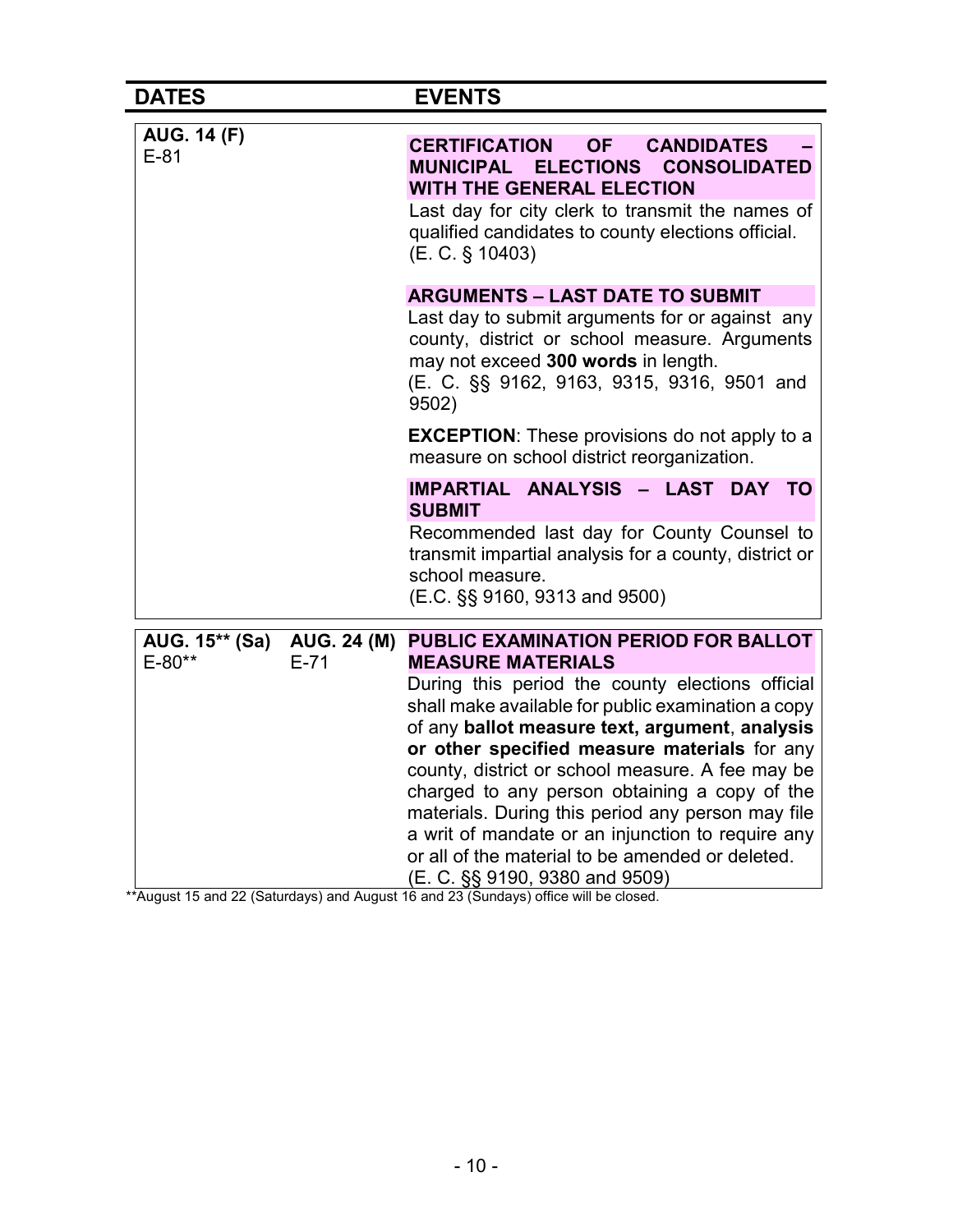| <b>DATES</b>                 |                              | <b>EVENTS</b>                                                                                                                                                                                                                                                                                                                                                                                                                                                                                                                                                                     |
|------------------------------|------------------------------|-----------------------------------------------------------------------------------------------------------------------------------------------------------------------------------------------------------------------------------------------------------------------------------------------------------------------------------------------------------------------------------------------------------------------------------------------------------------------------------------------------------------------------------------------------------------------------------|
| <b>AUG. 14 (F)</b><br>$E-81$ |                              | <b>CERTIFICATION</b><br><b>OF</b><br><b>CANDIDATES</b><br>MUNICIPAL ELECTIONS<br><b>CONSOLIDATED</b><br><b>WITH THE GENERAL ELECTION</b><br>Last day for city clerk to transmit the names of<br>qualified candidates to county elections official.<br>(E. C. § 10403)                                                                                                                                                                                                                                                                                                             |
|                              |                              | <b>ARGUMENTS - LAST DATE TO SUBMIT</b><br>Last day to submit arguments for or against any<br>county, district or school measure. Arguments<br>may not exceed 300 words in length.<br>(E. C. §§ 9162, 9163, 9315, 9316, 9501 and<br>9502)                                                                                                                                                                                                                                                                                                                                          |
|                              |                              | <b>EXCEPTION:</b> These provisions do not apply to a<br>measure on school district reorganization.                                                                                                                                                                                                                                                                                                                                                                                                                                                                                |
|                              |                              | IMPARTIAL ANALYSIS - LAST DAY TO<br><b>SUBMIT</b><br>Recommended last day for County Counsel to<br>transmit impartial analysis for a county, district or<br>school measure.<br>(E.C. §§ 9160, 9313 and 9500)                                                                                                                                                                                                                                                                                                                                                                      |
| AUG. 15** (Sa)<br>E-80**     | <b>AUG. 24 (M)</b><br>$E-71$ | PUBLIC EXAMINATION PERIOD FOR BALLOT<br><b>MEASURE MATERIALS</b><br>During this period the county elections official<br>shall make available for public examination a copy<br>of any ballot measure text, argument, analysis<br>or other specified measure materials for any<br>county, district or school measure. A fee may be<br>charged to any person obtaining a copy of the<br>materials. During this period any person may file<br>a writ of mandate or an injunction to require any<br>or all of the material to be amended or deleted.<br>(E. C. §§ 9190, 9380 and 9509) |

\*\*August 15 and 22 (Saturdays) and August 16 and 23 (Sundays) office will be closed.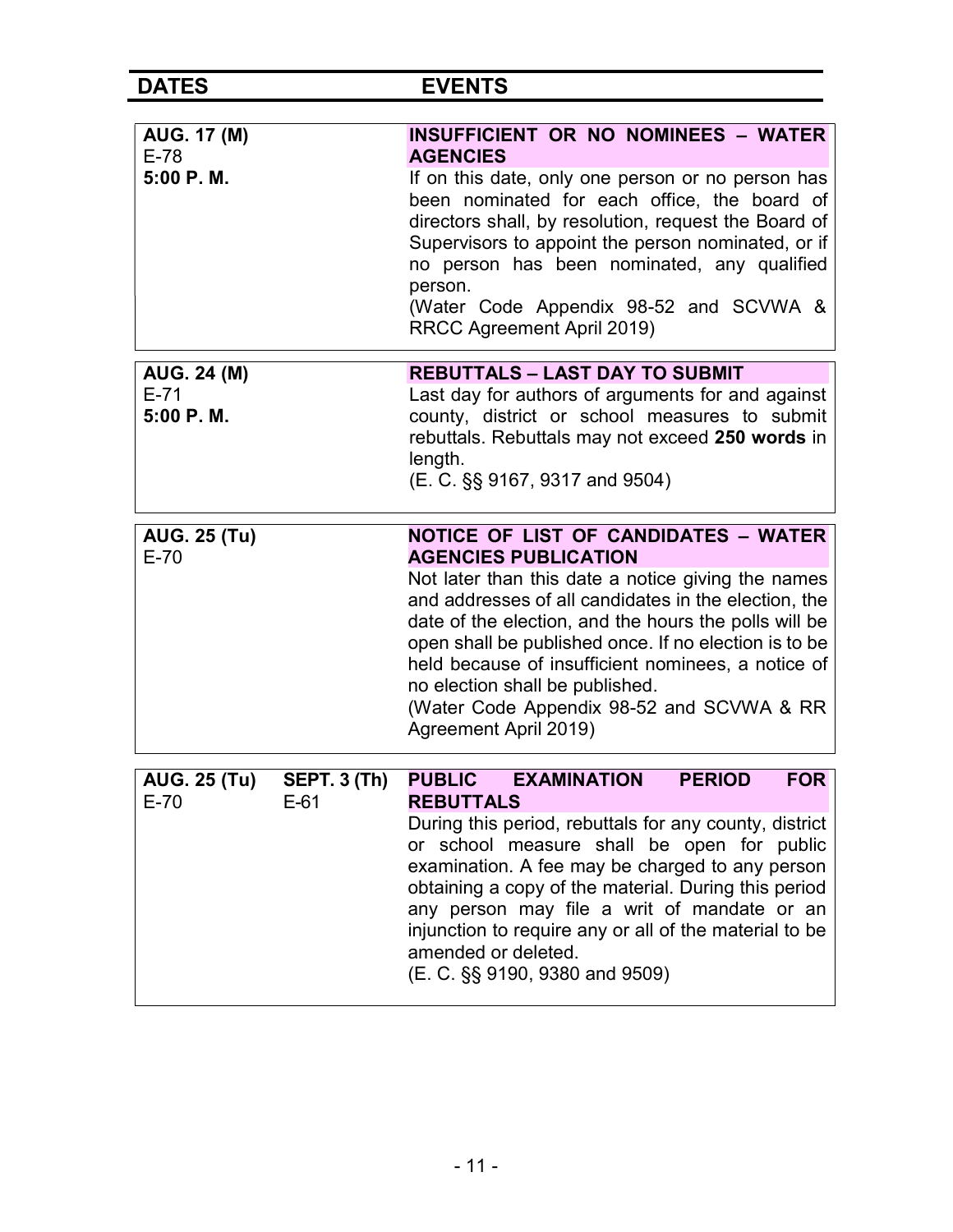| H I<br>ı |  |  |
|----------|--|--|

**EVENTS** 

| <b>AUG. 17 (M)</b><br>$E-78$              |                               | INSUFFICIENT OR NO NOMINEES - WATER<br><b>AGENCIES</b>                                                                                                                                                                                                                                                                                                                                                                                                                    |
|-------------------------------------------|-------------------------------|---------------------------------------------------------------------------------------------------------------------------------------------------------------------------------------------------------------------------------------------------------------------------------------------------------------------------------------------------------------------------------------------------------------------------------------------------------------------------|
| 5:00 P.M.                                 |                               | If on this date, only one person or no person has<br>been nominated for each office, the board of<br>directors shall, by resolution, request the Board of<br>Supervisors to appoint the person nominated, or if<br>no person has been nominated, any qualified<br>person.<br>(Water Code Appendix 98-52 and SCVWA &<br>RRCC Agreement April 2019)                                                                                                                         |
| <b>AUG. 24 (M)</b><br>$E-71$<br>5:00 P.M. |                               | <b>REBUTTALS - LAST DAY TO SUBMIT</b><br>Last day for authors of arguments for and against<br>county, district or school measures to submit<br>rebuttals. Rebuttals may not exceed 250 words in<br>length.<br>(E. C. §§ 9167, 9317 and 9504)                                                                                                                                                                                                                              |
| <b>AUG. 25 (Tu)</b><br>$E-70$             |                               | <b>NOTICE OF LIST OF CANDIDATES - WATER</b><br><b>AGENCIES PUBLICATION</b><br>Not later than this date a notice giving the names<br>and addresses of all candidates in the election, the<br>date of the election, and the hours the polls will be<br>open shall be published once. If no election is to be<br>held because of insufficient nominees, a notice of<br>no election shall be published.<br>(Water Code Appendix 98-52 and SCVWA & RR<br>Agreement April 2019) |
| <b>AUG. 25 (Tu)</b><br>$E-70$             | <b>SEPT. 3 (Th)</b><br>$E-61$ | <b>FOR</b><br>PUBLIC EXAMINATION<br><b>PERIOD</b><br><b>REBUTTALS</b><br>During this period, rebuttals for any county, district<br>or school measure shall be open for public<br>examination. A fee may be charged to any person<br>obtaining a copy of the material. During this period<br>any person may file a writ of mandate or an<br>injunction to require any or all of the material to be<br>amended or deleted.<br>(E. C. §§ 9190, 9380 and 9509)                |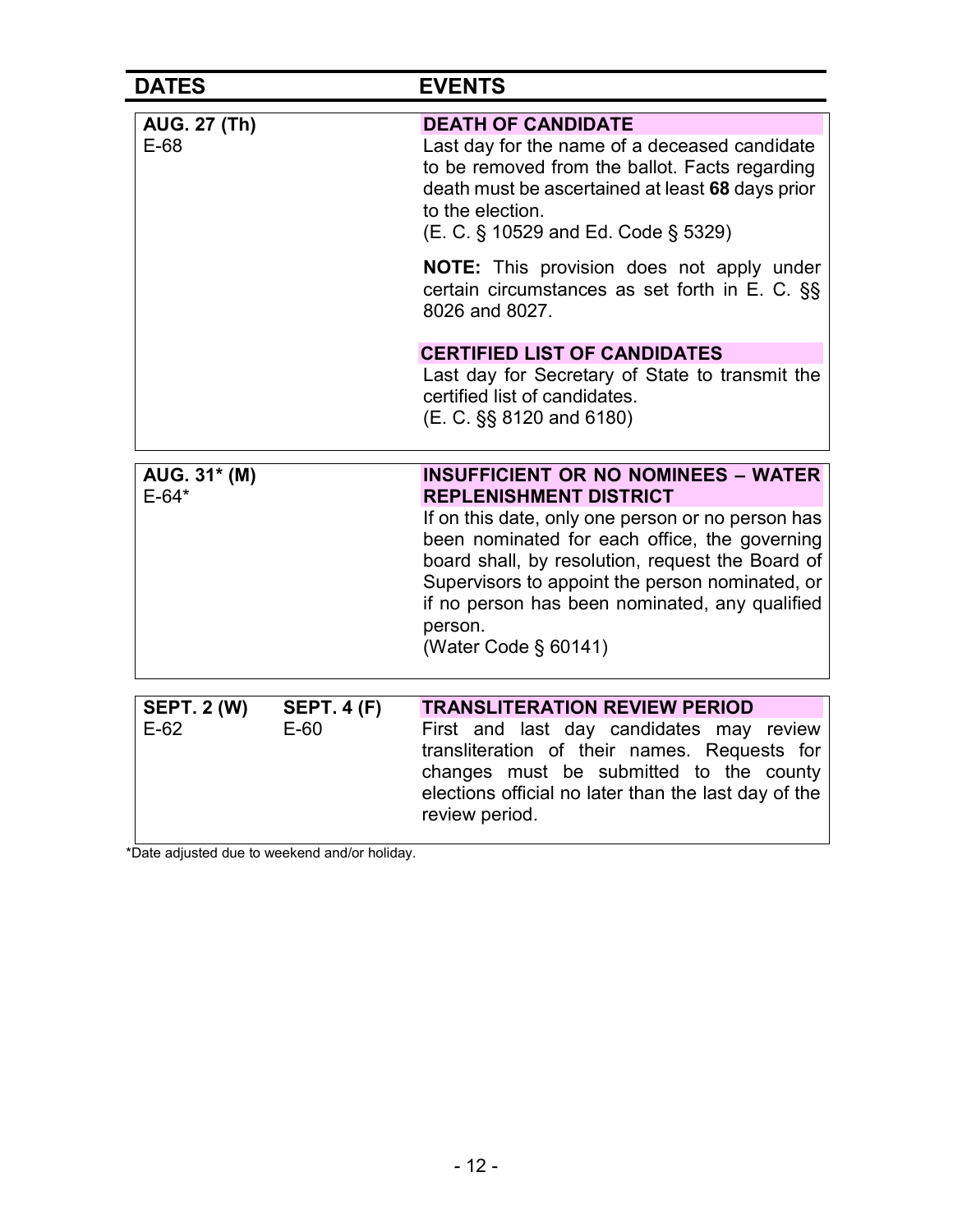| <b>DATES</b>                  |                    | <b>EVENTS</b>                                                                                                                                                                                                                                                                                                                   |
|-------------------------------|--------------------|---------------------------------------------------------------------------------------------------------------------------------------------------------------------------------------------------------------------------------------------------------------------------------------------------------------------------------|
| <b>AUG. 27 (Th)</b><br>$E-68$ |                    | <b>DEATH OF CANDIDATE</b><br>Last day for the name of a deceased candidate<br>to be removed from the ballot. Facts regarding<br>death must be ascertained at least 68 days prior<br>to the election.<br>(E. C. § 10529 and Ed. Code § 5329)                                                                                     |
|                               |                    | <b>NOTE:</b> This provision does not apply under<br>certain circumstances as set forth in E. C. §§<br>8026 and 8027.                                                                                                                                                                                                            |
|                               |                    | <b>CERTIFIED LIST OF CANDIDATES</b><br>Last day for Secretary of State to transmit the<br>certified list of candidates.<br>(E. C. §§ 8120 and 6180)                                                                                                                                                                             |
| AUG. 31* (M)                  |                    | <b>INSUFFICIENT OR NO NOMINEES - WATER</b>                                                                                                                                                                                                                                                                                      |
| $E - 64*$                     |                    | <b>REPLENISHMENT DISTRICT</b><br>If on this date, only one person or no person has<br>been nominated for each office, the governing<br>board shall, by resolution, request the Board of<br>Supervisors to appoint the person nominated, or<br>if no person has been nominated, any qualified<br>person.<br>(Water Code § 60141) |
| <b>SEPT. 2 (W)</b>            | <b>SEPT. 4 (F)</b> | <b>TRANSLITERATION REVIEW PERIOD</b>                                                                                                                                                                                                                                                                                            |
| $E-62$                        | $E-60$             | First and last day candidates may review<br>transliteration of their names. Requests for<br>changes must be submitted to the county<br>elections official no later than the last day of the                                                                                                                                     |

\*Date adjusted due to weekend and/or holiday.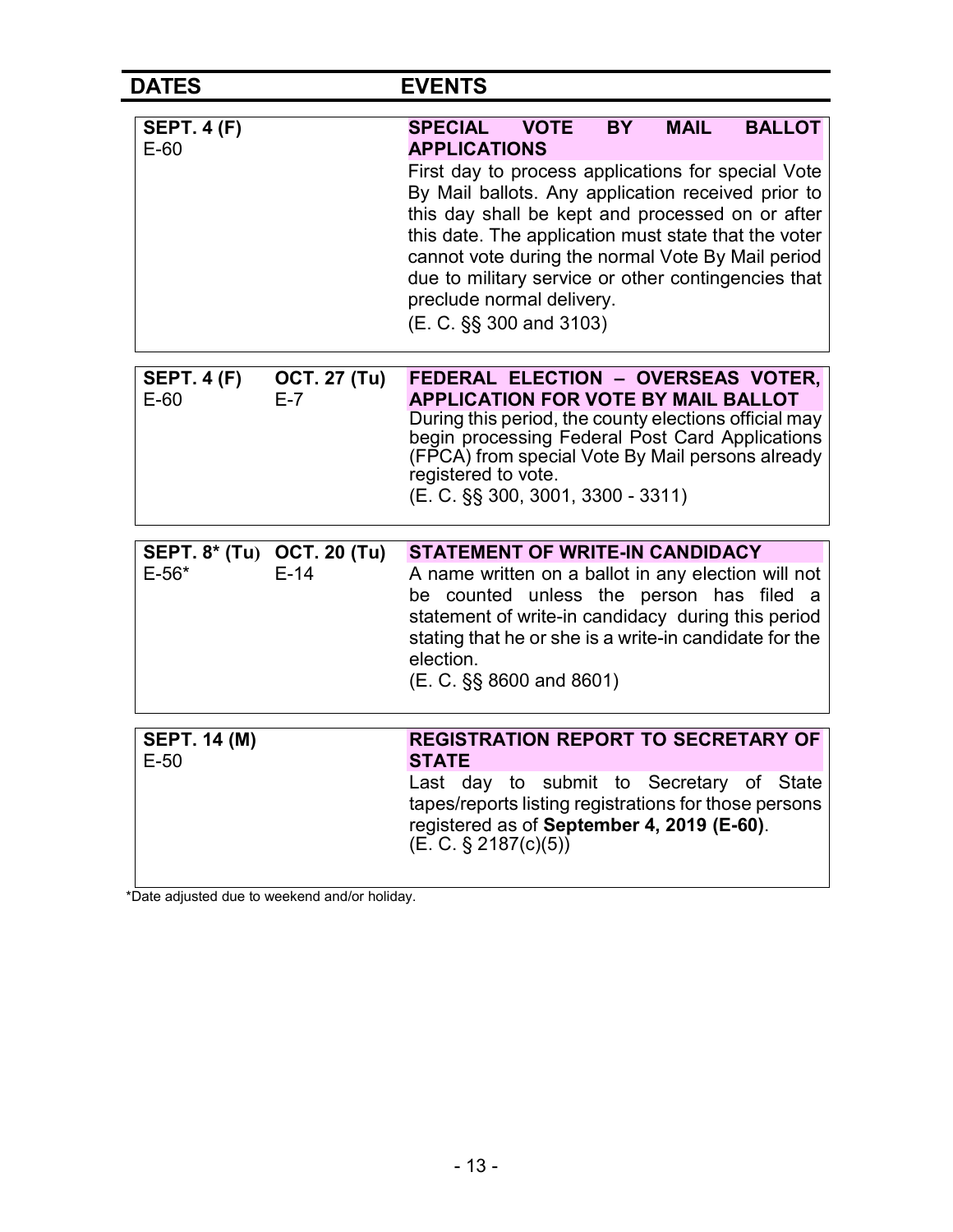| <b>DATES</b>                                                 | <b>EVENTS</b>                                                                                                                                                                                                                                                                                                                                                                                                                                                                                 |
|--------------------------------------------------------------|-----------------------------------------------------------------------------------------------------------------------------------------------------------------------------------------------------------------------------------------------------------------------------------------------------------------------------------------------------------------------------------------------------------------------------------------------------------------------------------------------|
| <b>SEPT. 4 (F)</b><br>$E-60$                                 | <b>VOTE</b><br><b>MAIL</b><br><b>BALLOT</b><br><b>SPECIAL</b><br><b>BY</b><br><b>APPLICATIONS</b><br>First day to process applications for special Vote<br>By Mail ballots. Any application received prior to<br>this day shall be kept and processed on or after<br>this date. The application must state that the voter<br>cannot vote during the normal Vote By Mail period<br>due to military service or other contingencies that<br>preclude normal delivery.<br>(E. C. §§ 300 and 3103) |
| <b>SEPT. 4 (F)</b><br><b>OCT. 27 (Tu)</b><br>$E-60$<br>$E-7$ | FEDERAL ELECTION - OVERSEAS VOTER,<br><b>APPLICATION FOR VOTE BY MAIL BALLOT</b><br>During this period, the county elections official may<br>begin processing Federal Post Card Applications<br>(FPCA) from special Vote By Mail persons already<br>registered to vote.<br>(E. C. §§ 300, 3001, 3300 - 3311)                                                                                                                                                                                  |
| SEPT. 8* (Tu) OCT. 20 (Tu)<br>$E-14$<br>$E - 56*$            | <b>STATEMENT OF WRITE-IN CANDIDACY</b><br>A name written on a ballot in any election will not<br>be counted unless the person has filed a<br>statement of write-in candidacy during this period<br>stating that he or she is a write-in candidate for the<br>election.<br>$(E. C. \S\$ 8600 and 8601)                                                                                                                                                                                         |
| <b>SEPT. 14 (M)</b><br>$E-50$                                | <b>REGISTRATION REPORT TO SECRETARY OF</b><br><b>STATE</b><br>Last day to submit to Secretary of State<br>tapes/reports listing registrations for those persons<br>registered as of September 4, 2019 (E-60).<br>(E. C. § 2187(c)(5))                                                                                                                                                                                                                                                         |

\*Date adjusted due to weekend and/or holiday.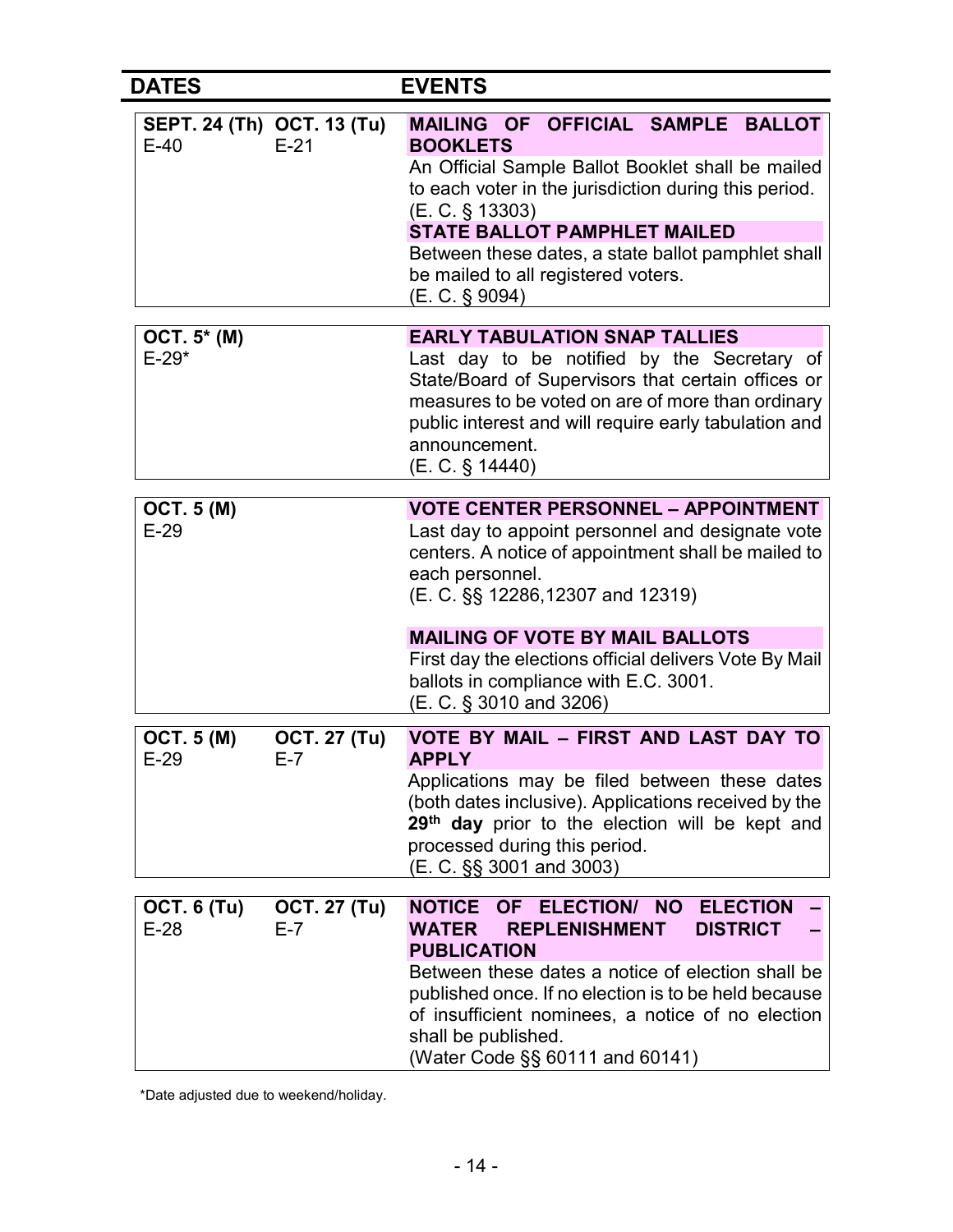| <b>DATES</b>                 |                                      | <b>EVENTS</b>                                                                                                                                                                                                                                                                                                                                                                        |
|------------------------------|--------------------------------------|--------------------------------------------------------------------------------------------------------------------------------------------------------------------------------------------------------------------------------------------------------------------------------------------------------------------------------------------------------------------------------------|
| $E-40$                       | SEPT. 24 (Th) OCT. 13 (Tu)<br>$E-21$ | MAILING OF OFFICIAL SAMPLE BALLOT<br><b>BOOKLETS</b><br>An Official Sample Ballot Booklet shall be mailed<br>to each voter in the jurisdiction during this period.<br>$(E. C. \S 13303)$<br><b>STATE BALLOT PAMPHLET MAILED</b><br>Between these dates, a state ballot pamphlet shall<br>be mailed to all registered voters.<br>(E. C. § 9094)                                       |
| OCT. 5* (M)<br>$E-29*$       |                                      | <b>EARLY TABULATION SNAP TALLIES</b><br>Last day to be notified by the Secretary of<br>State/Board of Supervisors that certain offices or<br>measures to be voted on are of more than ordinary<br>public interest and will require early tabulation and<br>announcement.<br>(E. C. § 14440)                                                                                          |
| <b>OCT. 5 (M)</b><br>$E-29$  |                                      | <b>VOTE CENTER PERSONNEL - APPOINTMENT</b><br>Last day to appoint personnel and designate vote<br>centers. A notice of appointment shall be mailed to<br>each personnel.<br>(E. C. §§ 12286,12307 and 12319)<br><b>MAILING OF VOTE BY MAIL BALLOTS</b><br>First day the elections official delivers Vote By Mail<br>ballots in compliance with E.C. 3001.<br>(E. C. § 3010 and 3206) |
| <b>OCT. 5 (M)</b><br>$E-29$  | <b>OCT. 27 (Tu)</b><br>E-7           | VOTE BY MAIL - FIRST AND LAST DAY TO<br><b>APPLY</b><br>Applications may be filed between these dates<br>(both dates inclusive). Applications received by the<br>29 <sup>th</sup> day prior to the election will be kept and<br>processed during this period.<br>(E. C. §§ 3001 and 3003)                                                                                            |
| <b>OCT. 6 (Tu)</b><br>$E-28$ | <b>OCT. 27 (Tu)</b><br>$E-7$         | NOTICE OF ELECTION/ NO<br><b>ELECTION</b><br><b>DISTRICT</b><br><b>WATER</b><br><b>REPLENISHMENT</b><br><b>PUBLICATION</b><br>Between these dates a notice of election shall be<br>published once. If no election is to be held because<br>of insufficient nominees, a notice of no election<br>shall be published.<br>(Water Code §§ 60111 and 60141)                               |

\*Date adjusted due to weekend/holiday.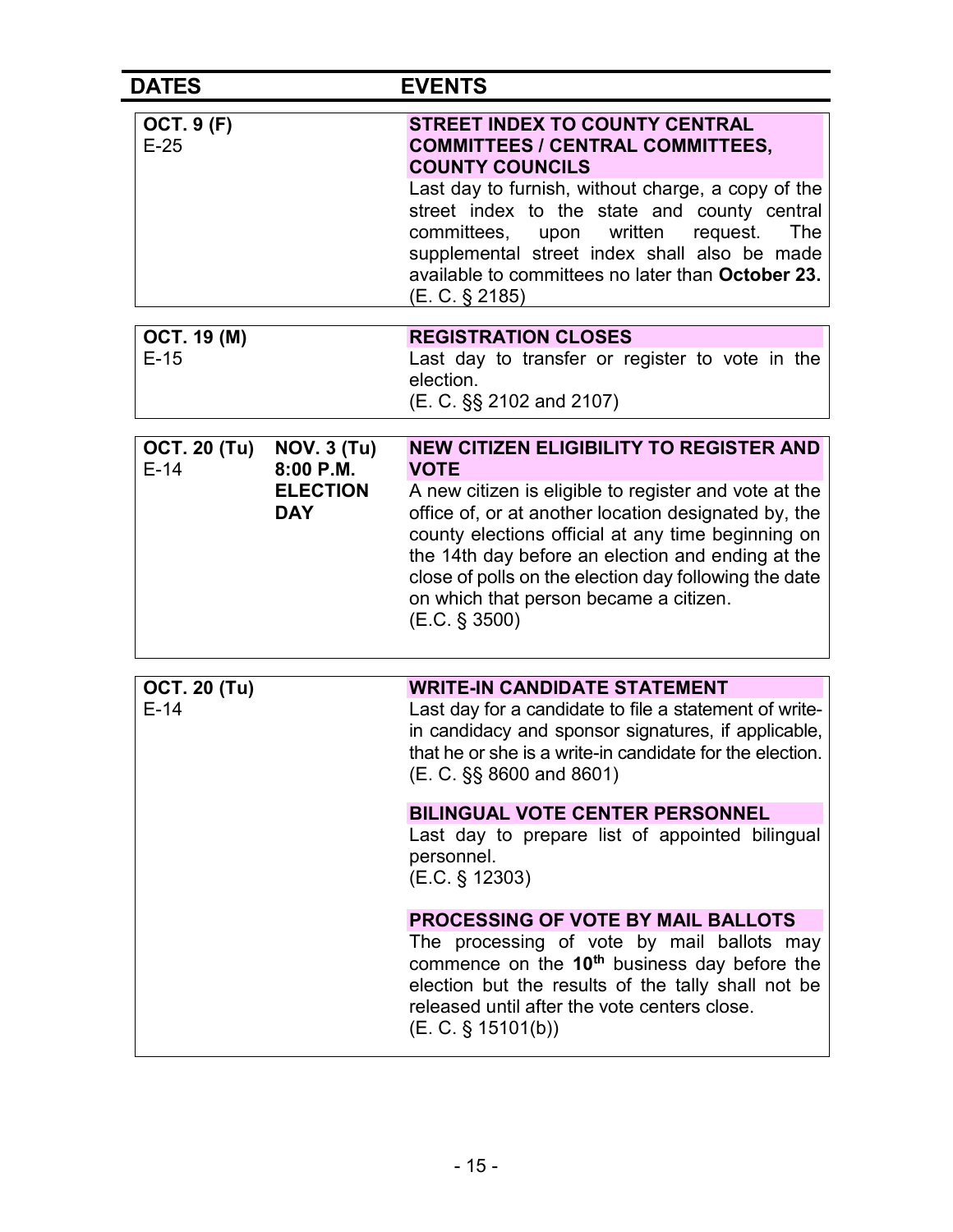| <b>DATES</b>                  |                                 | <b>EVENTS</b>                                                                                                                                                                                                            |
|-------------------------------|---------------------------------|--------------------------------------------------------------------------------------------------------------------------------------------------------------------------------------------------------------------------|
| <b>OCT. 9 (F)</b><br>$E-25$   |                                 | <b>STREET INDEX TO COUNTY CENTRAL</b><br><b>COMMITTEES / CENTRAL COMMITTEES,</b><br><b>COUNTY COUNCILS</b><br>Last day to furnish, without charge, a copy of the                                                         |
|                               |                                 | street index to the state and county central<br>written<br>The<br>committees,<br>upon<br>request.<br>supplemental street index shall also be made<br>available to committees no later than October 23.<br>(E. C. § 2185) |
| <b>OCT. 19 (M)</b>            |                                 | <b>REGISTRATION CLOSES</b>                                                                                                                                                                                               |
| $E-15$                        |                                 | Last day to transfer or register to vote in the<br>election.<br>(E. C. §§ 2102 and 2107)                                                                                                                                 |
|                               |                                 |                                                                                                                                                                                                                          |
| <b>OCT. 20 (Tu)</b><br>$E-14$ | <b>NOV. 3 (Tu)</b><br>8:00 P.M. | <b>NEW CITIZEN ELIGIBILITY TO REGISTER AND</b><br><b>VOTE</b>                                                                                                                                                            |
|                               | <b>ELECTION</b>                 | A new citizen is eligible to register and vote at the                                                                                                                                                                    |
|                               | <b>DAY</b>                      | office of, or at another location designated by, the                                                                                                                                                                     |
|                               |                                 | county elections official at any time beginning on<br>the 14th day before an election and ending at the                                                                                                                  |
|                               |                                 | close of polls on the election day following the date                                                                                                                                                                    |
|                               |                                 | on which that person became a citizen.<br>(E.C. § 3500)                                                                                                                                                                  |
|                               |                                 |                                                                                                                                                                                                                          |
|                               |                                 |                                                                                                                                                                                                                          |
| <b>OCT. 20 (Tu)</b><br>$E-14$ |                                 | <b>WRITE-IN CANDIDATE STATEMENT</b><br>Last day for a candidate to file a statement of write-                                                                                                                            |
|                               |                                 | in candidacy and sponsor signatures, if applicable,<br>that he or she is a write-in candidate for the election.<br>(E. C. §§ 8600 and 8601)                                                                              |
|                               |                                 | <b>BILINGUAL VOTE CENTER PERSONNEL</b>                                                                                                                                                                                   |
|                               |                                 | Last day to prepare list of appointed bilingual<br>personnel.<br>(E.C. § 12303)                                                                                                                                          |
|                               |                                 | <b>PROCESSING OF VOTE BY MAIL BALLOTS</b>                                                                                                                                                                                |
|                               |                                 | The processing of vote by mail ballots may<br>commence on the $10th$ business day before the<br>election but the results of the tally shall not be<br>released until after the vote centers close.<br>(E. C. § 15101(b)) |
|                               |                                 |                                                                                                                                                                                                                          |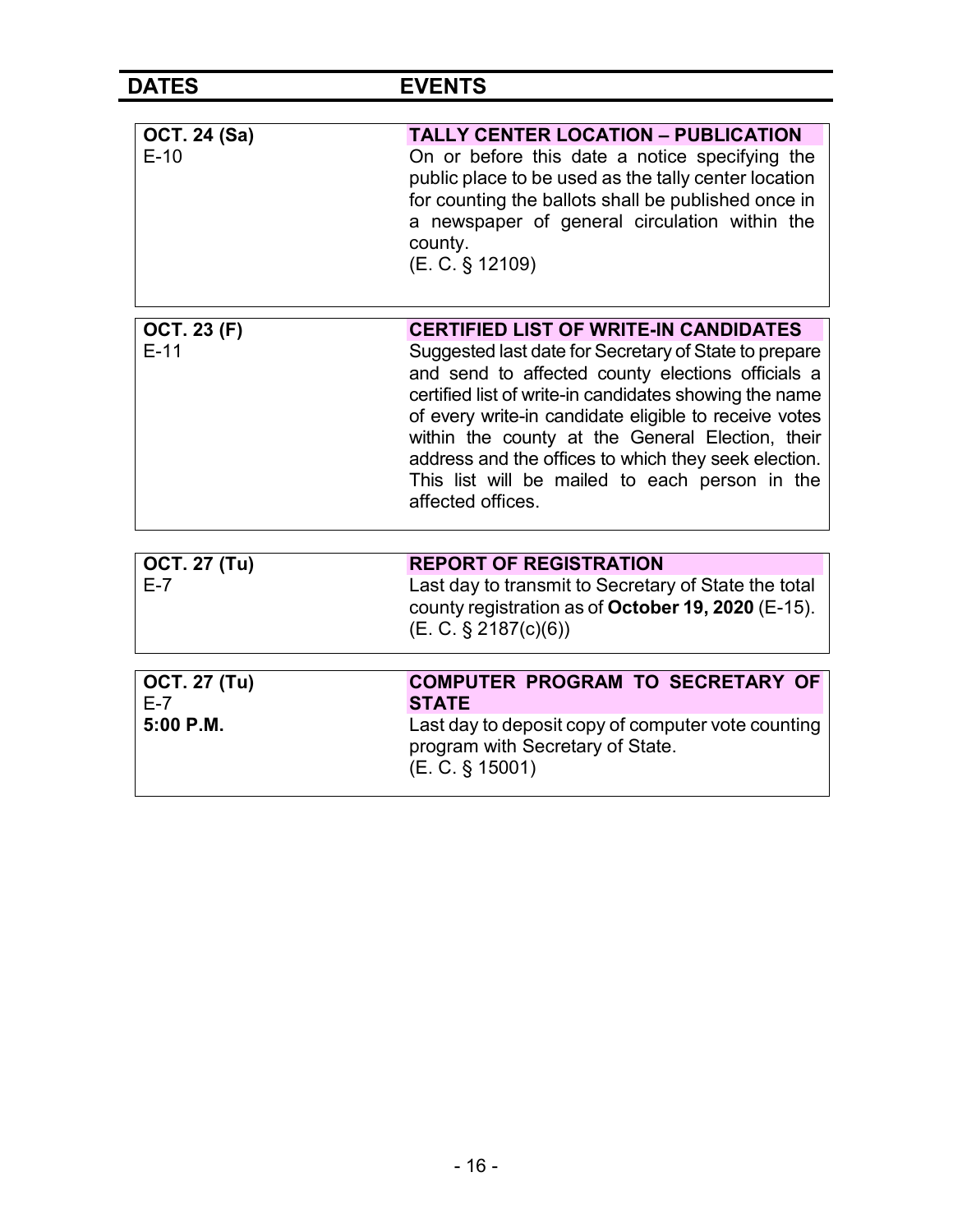DATES EVENTS

| <b>OCT. 24 (Sa)</b> | <b>TALLY CENTER LOCATION - PUBLICATION</b>                                                                                                                                                                                                                                                                                                                                                                       |
|---------------------|------------------------------------------------------------------------------------------------------------------------------------------------------------------------------------------------------------------------------------------------------------------------------------------------------------------------------------------------------------------------------------------------------------------|
| $E-10$              | On or before this date a notice specifying the<br>public place to be used as the tally center location<br>for counting the ballots shall be published once in<br>a newspaper of general circulation within the<br>county.<br>(E. C. § 12109)                                                                                                                                                                     |
| <b>OCT. 23 (F)</b>  | <b>CERTIFIED LIST OF WRITE-IN CANDIDATES</b>                                                                                                                                                                                                                                                                                                                                                                     |
| $E-11$              | Suggested last date for Secretary of State to prepare<br>and send to affected county elections officials a<br>certified list of write-in candidates showing the name<br>of every write-in candidate eligible to receive votes<br>within the county at the General Election, their<br>address and the offices to which they seek election.<br>This list will be mailed to each person in the<br>affected offices. |
|                     |                                                                                                                                                                                                                                                                                                                                                                                                                  |
| <b>OCT. 27 (Tu)</b> | <b>REPORT OF REGISTRATION</b>                                                                                                                                                                                                                                                                                                                                                                                    |
| $E-7$               | Last day to transmit to Secretary of State the total<br>county registration as of October 19, 2020 (E-15).<br>(E. C. § 2187(c)(6))                                                                                                                                                                                                                                                                               |
| <b>OCT. 27 (Tu)</b> | <b>COMPUTER PROGRAM TO SECRETARY OF</b>                                                                                                                                                                                                                                                                                                                                                                          |
| $E-7$               | <b>STATE</b>                                                                                                                                                                                                                                                                                                                                                                                                     |
| 5:00 P.M.           | Last day to deposit copy of computer vote counting<br>program with Secretary of State.<br>(E. C. § 15001)                                                                                                                                                                                                                                                                                                        |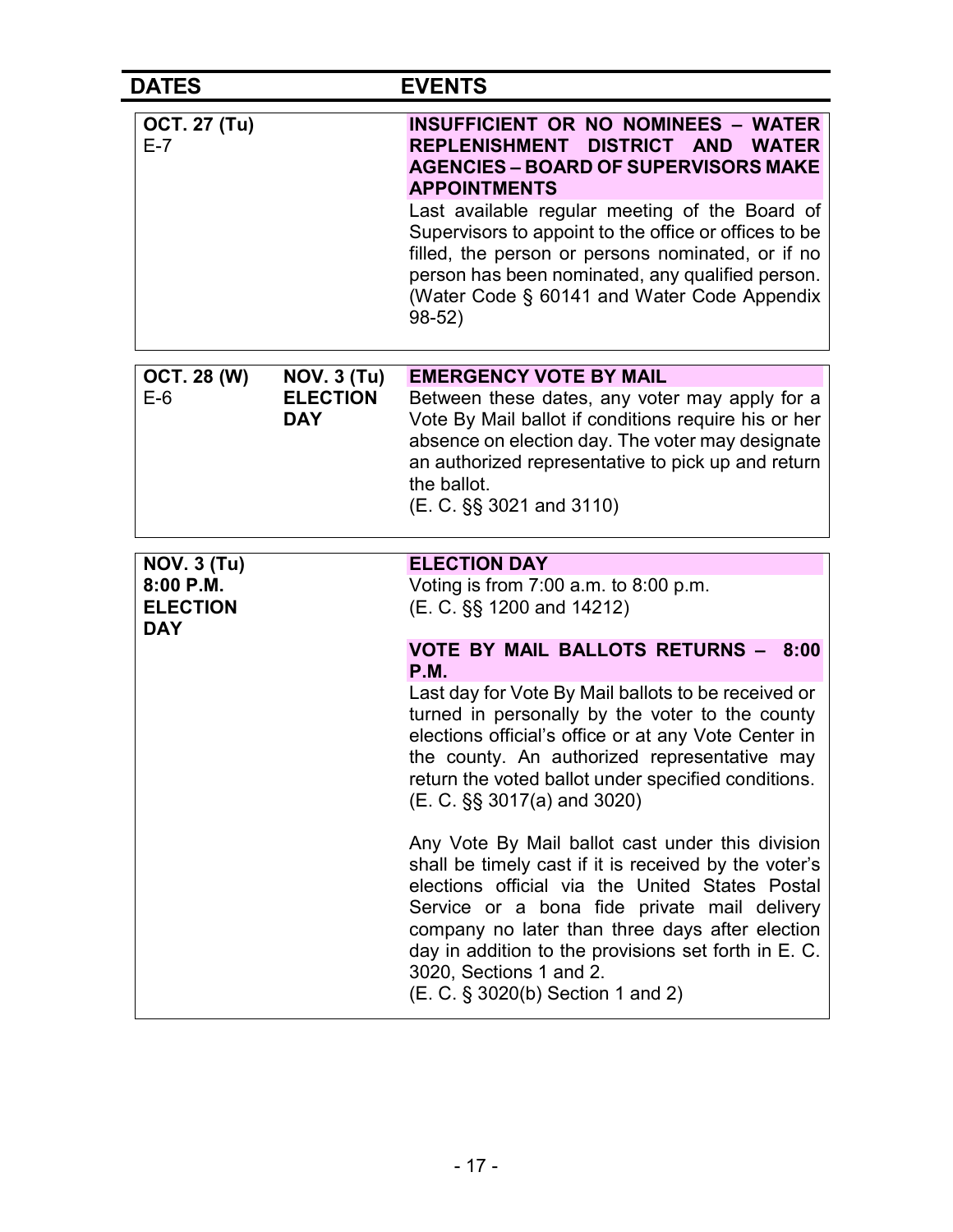| <b>DATES</b>                               |                                                     | <b>EVENTS</b>                                                                                                                                                                                                                                                                                                                                                                                                                       |
|--------------------------------------------|-----------------------------------------------------|-------------------------------------------------------------------------------------------------------------------------------------------------------------------------------------------------------------------------------------------------------------------------------------------------------------------------------------------------------------------------------------------------------------------------------------|
| <b>OCT. 27 (Tu)</b><br>$E - 7$             |                                                     | <b>INSUFFICIENT OR NO NOMINEES - WATER</b><br>REPLENISHMENT DISTRICT AND WATER<br><b>AGENCIES – BOARD OF SUPERVISORS MAKE</b><br><b>APPOINTMENTS</b><br>Last available regular meeting of the Board of<br>Supervisors to appoint to the office or offices to be<br>filled, the person or persons nominated, or if no<br>person has been nominated, any qualified person.<br>(Water Code § 60141 and Water Code Appendix<br>$98-52)$ |
|                                            |                                                     | <b>EMERGENCY VOTE BY MAIL</b>                                                                                                                                                                                                                                                                                                                                                                                                       |
| <b>OCT. 28 (W)</b><br>$E-6$                | <b>NOV. 3 (Tu)</b><br><b>ELECTION</b><br><b>DAY</b> | Between these dates, any voter may apply for a<br>Vote By Mail ballot if conditions require his or her<br>absence on election day. The voter may designate<br>an authorized representative to pick up and return<br>the ballot.<br>(E. C. §§ 3021 and 3110)                                                                                                                                                                         |
| <b>NOV. 3 (Tu)</b>                         |                                                     | <b>ELECTION DAY</b>                                                                                                                                                                                                                                                                                                                                                                                                                 |
| 8:00 P.M.<br><b>ELECTION</b><br><b>DAY</b> |                                                     | Voting is from $7:00$ a.m. to $8:00$ p.m.<br>(E. C. §§ 1200 and 14212)                                                                                                                                                                                                                                                                                                                                                              |
|                                            |                                                     | <b>VOTE BY MAIL BALLOTS RETURNS - 8:00</b><br><b>P.M.</b>                                                                                                                                                                                                                                                                                                                                                                           |
|                                            |                                                     | Last day for Vote By Mail ballots to be received or<br>turned in personally by the voter to the county<br>elections official's office or at any Vote Center in<br>the county. An authorized representative may<br>return the voted ballot under specified conditions.<br>(E. C. §§ 3017(a) and 3020)                                                                                                                                |
|                                            |                                                     | Any Vote By Mail ballot cast under this division<br>shall be timely cast if it is received by the voter's<br>elections official via the United States Postal<br>Service or a bona fide private mail delivery<br>company no later than three days after election<br>day in addition to the provisions set forth in E. C.<br>3020, Sections 1 and 2.<br>(E. C. § 3020(b) Section 1 and 2)                                             |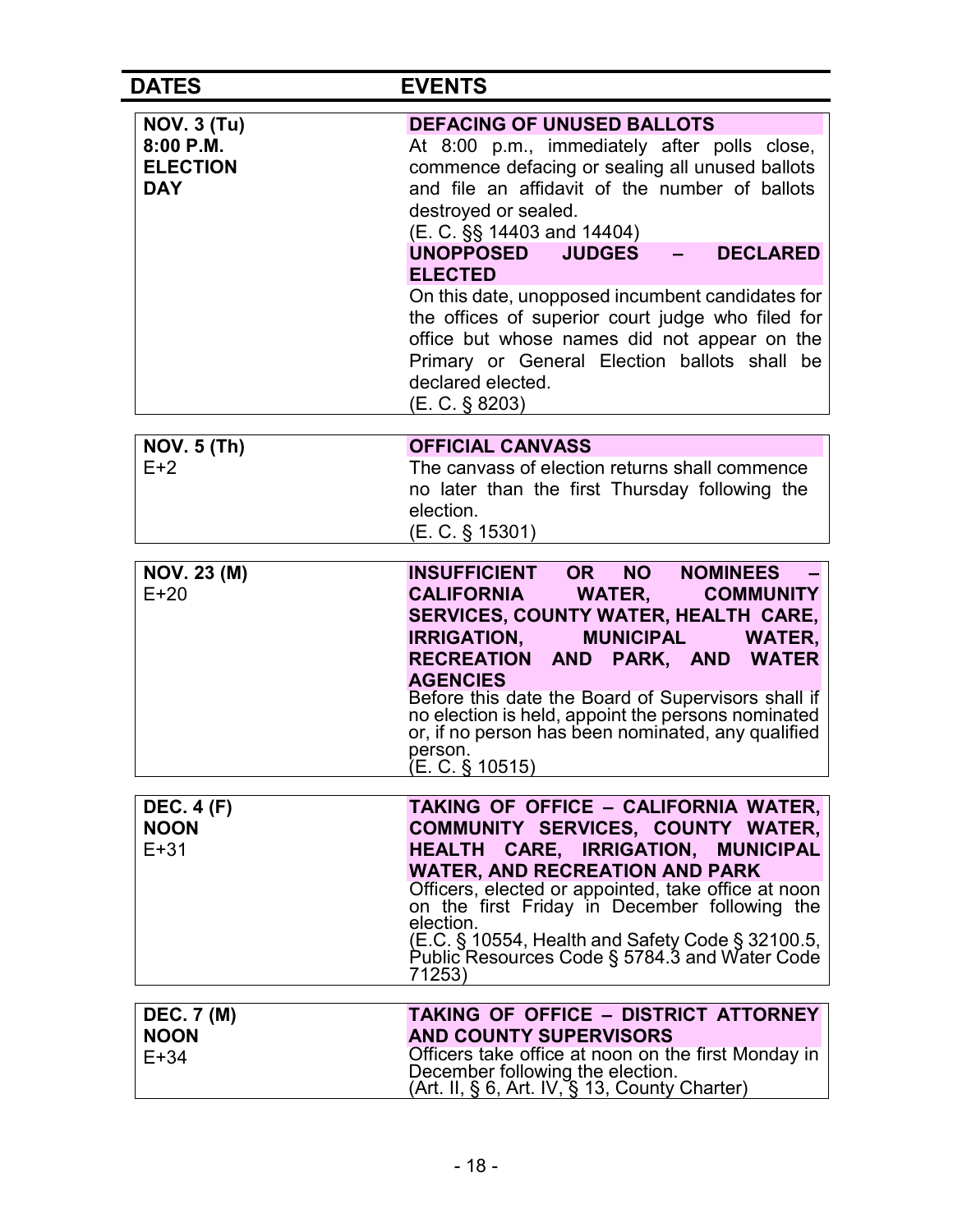| <b>DATES</b>                                                     | <b>EVENTS</b>                                                                                                                                                                                                                                                                                                                                                                                                                                                                                                                                                          |
|------------------------------------------------------------------|------------------------------------------------------------------------------------------------------------------------------------------------------------------------------------------------------------------------------------------------------------------------------------------------------------------------------------------------------------------------------------------------------------------------------------------------------------------------------------------------------------------------------------------------------------------------|
| <b>NOV. 3 (Tu)</b><br>8:00 P.M.<br><b>ELECTION</b><br><b>DAY</b> | <b>DEFACING OF UNUSED BALLOTS</b><br>At 8:00 p.m., immediately after polls close,<br>commence defacing or sealing all unused ballots<br>and file an affidavit of the number of ballots<br>destroyed or sealed.<br>(E. C. §§ 14403 and 14404)<br><b>DECLARED</b><br><b>UNOPPOSED</b><br><b>JUDGES</b><br><b>ELECTED</b><br>On this date, unopposed incumbent candidates for<br>the offices of superior court judge who filed for<br>office but whose names did not appear on the<br>Primary or General Election ballots shall be<br>declared elected.<br>(E. C. § 8203) |
| <b>NOV. 5 (Th)</b>                                               | <b>OFFICIAL CANVASS</b>                                                                                                                                                                                                                                                                                                                                                                                                                                                                                                                                                |
| $E+2$                                                            | The canvass of election returns shall commence<br>no later than the first Thursday following the<br>election.<br>$(E. C. \S 15301)$                                                                                                                                                                                                                                                                                                                                                                                                                                    |
| <b>NOV. 23 (M)</b><br>$E+20$                                     | <b>INSUFFICIENT</b><br><b>NOMINEES</b><br><b>OR</b><br><b>NO</b><br>CALIFORNIA WATER,<br><b>COMMUNITY</b><br><b>SERVICES, COUNTY WATER, HEALTH CARE,</b><br><b>IRRIGATION,</b><br><b>MUNICIPAL</b><br><b>WATER,</b><br>RECREATION AND PARK, AND WATER<br><b>AGENCIES</b><br>Before this date the Board of Supervisors shall if<br>no election is held, appoint the persons nominated<br>or, if no person has been nominated, any qualified<br>person.<br>(E. C. § 10515)                                                                                               |
| <b>DEC. 4 (F)</b><br><b>NOON</b><br>$E + 31$                     | TAKING OF OFFICE - CALIFORNIA WATER,<br>COMMUNITY SERVICES, COUNTY WATER,<br>HEALTH CARE, IRRIGATION,<br><b>MUNICIPAL</b><br><b>WATER, AND RECREATION AND PARK</b><br>Officers, elected or appointed, take office at noon<br>on the first Friday in December following the<br>election.<br>(E.C. § 10554, Health and Safety Code § 32100.5,<br>Public Resources Code § 5784.3 and Water Code<br>71253)                                                                                                                                                                 |
| <b>DEC. 7 (M)</b><br><b>NOON</b><br>$E+34$                       | <b>TAKING OF OFFICE - DISTRICT ATTORNEY</b><br><b>AND COUNTY SUPERVISORS</b><br>Officers take office at noon on the first Monday in<br>December following the election.<br>(Art. II, § 6, Art. IV, § 13, County Charter)                                                                                                                                                                                                                                                                                                                                               |